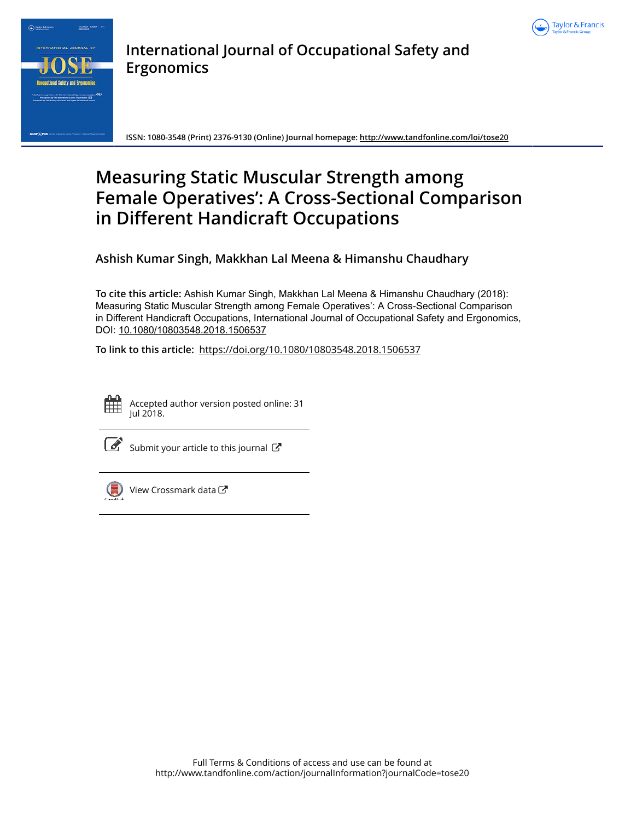



**International Journal of Occupational Safety and Ergonomics**

**ISSN: 1080-3548 (Print) 2376-9130 (Online) Journal homepage: http://www.tandfonline.com/loi/tose20**

# **Measuring Static Muscular Strength among Female Operatives': A Cross-Sectional Comparison in Different Handicraft Occupations**

**Ashish Kumar Singh, Makkhan Lal Meena & Himanshu Chaudhary**

**To cite this article:** Ashish Kumar Singh, Makkhan Lal Meena & Himanshu Chaudhary (2018): Measuring Static Muscular Strength among Female Operatives': A Cross-Sectional Comparison in Different Handicraft Occupations, International Journal of Occupational Safety and Ergonomics, DOI: 10.1080/10803548.2018.1506537

**To link to this article:** https://doi.org/10.1080/10803548.2018.1506537



Accepted author version posted online: 31 Jul 2018.



 $\overline{\mathcal{C}}$  Submit your article to this journal  $\overline{\mathcal{C}}$ 



View Crossmark data<sup>C</sup>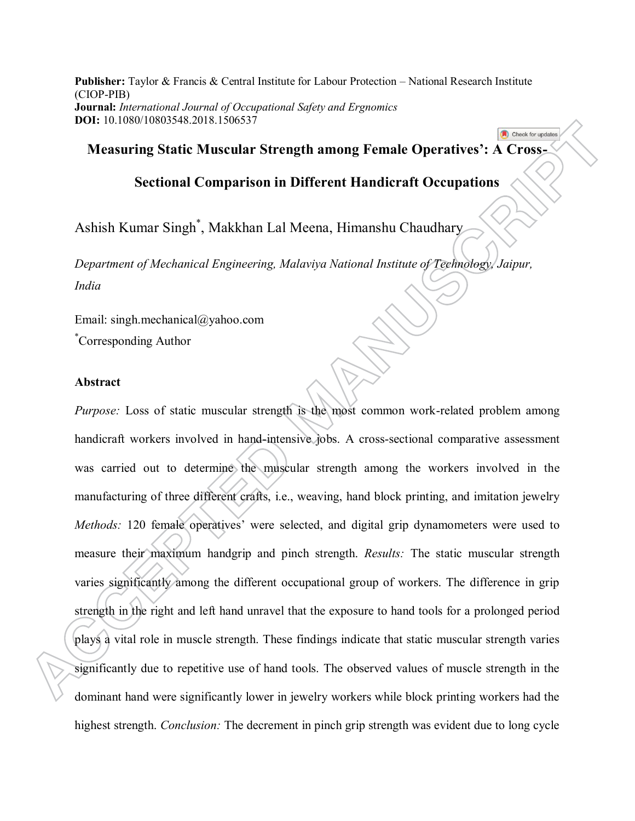**Publisher:** Taylor & Francis & Central Institute for Labour Protection – National Research Institute (CIOP-PIB) **Journal:** *International Journal of Occupational Safety and Ergnomics*  **DOI:** 10.1080/10803548.2018.1506537

# **Measuring Static Muscular Strength among Female Operatives': A Cross-**

Check for updates

# **Sectional Comparison in Different Handicraft Occupations**

Ashish Kumar Singh\* , Makkhan Lal Meena, Himanshu Chaudhary

*Department of Mechanical Engineering, Malaviya National Institute of Technology, Jaipur, India* 

Email: singh.mechanical@yahoo.com \*Corresponding Author

## **Abstract**

*Purpose:* Loss of static muscular strength is the most common work-related problem among handicraft workers involved in hand-intensive jobs. A cross-sectional comparative assessment was carried out to determine the muscular strength among the workers involved in the manufacturing of three different crafts, i.e., weaving, hand block printing, and imitation jewelry *Methods:* 120 female operatives' were selected, and digital grip dynamometers were used to measure their maximum handgrip and pinch strength. *Results:* The static muscular strength varies significantly among the different occupational group of workers. The difference in grip strength in the right and left hand unravel that the exposure to hand tools for a prolonged period plays a vital role in muscle strength. These findings indicate that static muscular strength varies significantly due to repetitive use of hand tools. The observed values of muscle strength in the dominant hand were significantly lower in jewelry workers while block printing workers had the highest strength. *Conclusion:* The decrement in pinch grip strength was evident due to long cycle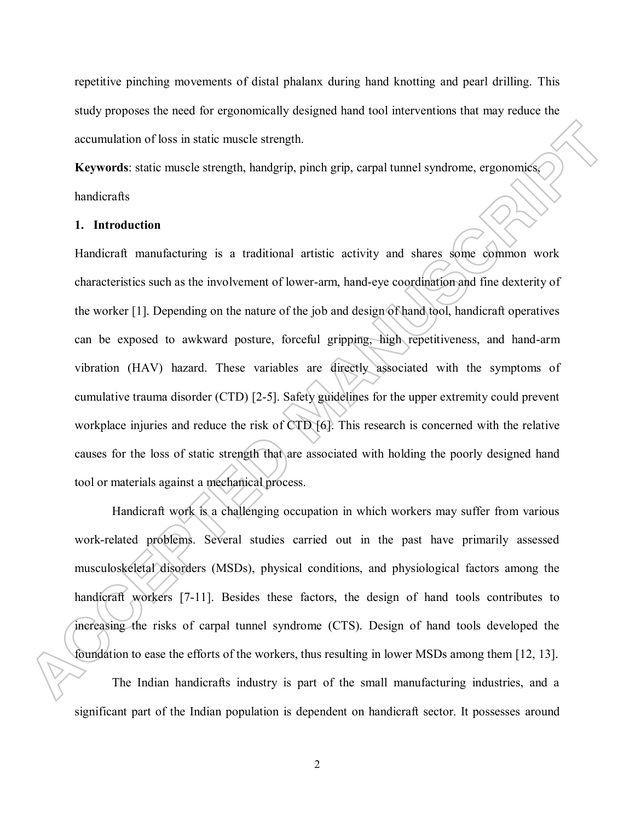repetitive pinching movements of distal phalanx during hand knotting and pearl drilling. This study proposes the need for ergonomically designed hand tool interventions that may reduce the accumulation of loss in static muscle strength.

**Keywords**: static muscle strength, handgrip, pinch grip, carpal tunnel syndrome, ergonomics, handicrafts

## **1. Introduction**

Handicraft manufacturing is a traditional artistic activity and shares some common work characteristics such as the involvement of lower-arm, hand-eye coordination and fine dexterity of the worker [1]. Depending on the nature of the job and design of hand tool, handicraft operatives can be exposed to awkward posture, forceful gripping, high repetitiveness, and hand-arm vibration (HAV) hazard. These variables are directly associated with the symptoms of cumulative trauma disorder (CTD) [2-5]. Safety guidelines for the upper extremity could prevent workplace injuries and reduce the risk of CTD [6]. This research is concerned with the relative causes for the loss of static strength that are associated with holding the poorly designed hand tool or materials against a mechanical process.

Handicraft work is a challenging occupation in which workers may suffer from various work-related problems. Several studies carried out in the past have primarily assessed musculoskeletal disorders (MSDs), physical conditions, and physiological factors among the handicraft workers [7-11]. Besides these factors, the design of hand tools contributes to increasing the risks of carpal tunnel syndrome (CTS). Design of hand tools developed the foundation to ease the efforts of the workers, thus resulting in lower MSDs among them [12, 13]. The Indian handicrafts industry is part of the small manufacturing industries, and a significant part of the Indian population is dependent on handicraft sector. It possesses around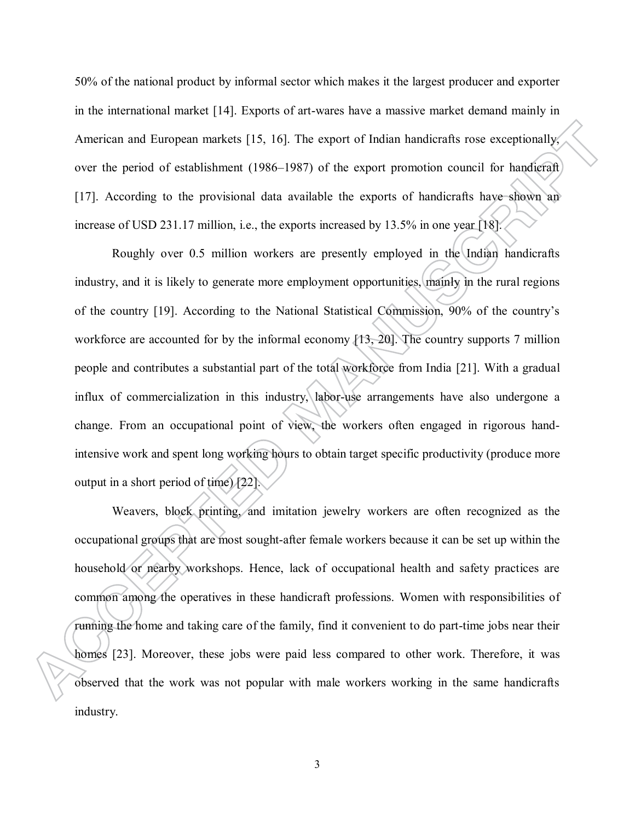50% of the national product by informal sector which makes it the largest producer and exporter in the international market [14]. Exports of art-wares have a massive market demand mainly in American and European markets [15, 16]. The export of Indian handicrafts rose exceptionally, over the period of establishment (1986–1987) of the export promotion council for handicraft [17]. According to the provisional data available the exports of handicrafts have shown an increase of USD 231.17 million, i.e., the exports increased by 13.5% in one year [18].

Roughly over 0.5 million workers are presently employed in the Indian handicrafts industry, and it is likely to generate more employment opportunities, mainly in the rural regions of the country [19]. According to the National Statistical Commission, 90% of the country's workforce are accounted for by the informal economy [13, 20]. The country supports 7 million people and contributes a substantial part of the total workforce from India [21]. With a gradual influx of commercialization in this industry, labor-use arrangements have also undergone a change. From an occupational point of view, the workers often engaged in rigorous handintensive work and spent long working hours to obtain target specific productivity (produce more output in a short period of time)  $\{22\}$ .

Weavers, block printing, and imitation jewelry workers are often recognized as the occupational groups that are most sought-after female workers because it can be set up within the household or nearby workshops. Hence, lack of occupational health and safety practices are common among the operatives in these handicraft professions. Women with responsibilities of running the home and taking care of the family, find it convenient to do part-time jobs near their homes [23]. Moreover, these jobs were paid less compared to other work. Therefore, it was observed that the work was not popular with male workers working in the same handicrafts industry.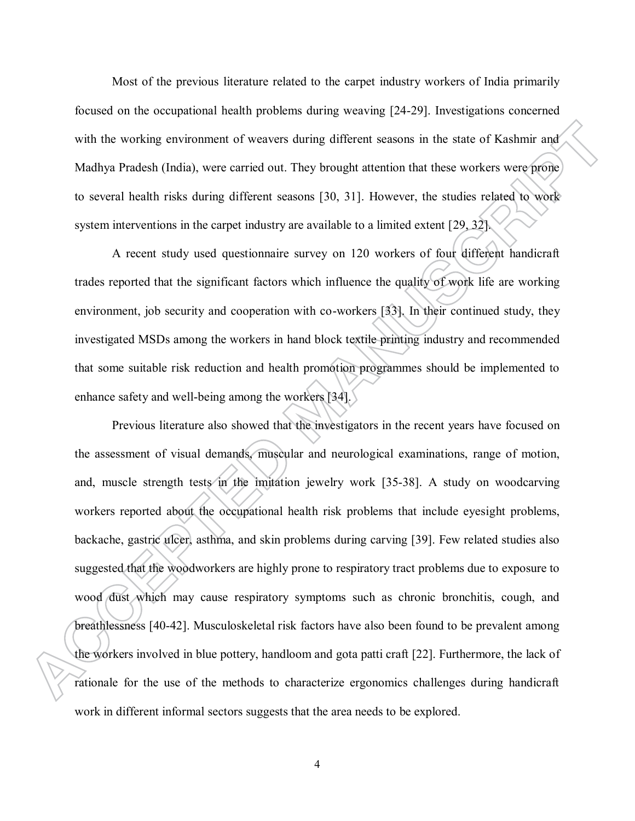Most of the previous literature related to the carpet industry workers of India primarily focused on the occupational health problems during weaving [24-29]. Investigations concerned with the working environment of weavers during different seasons in the state of Kashmir and Madhya Pradesh (India), were carried out. They brought attention that these workers were prone to several health risks during different seasons [30, 31]. However, the studies related to work system interventions in the carpet industry are available to a limited extent [29, 32].

A recent study used questionnaire survey on 120 workers of four different handicraft trades reported that the significant factors which influence the quality of work life are working environment, job security and cooperation with co-workers [33]. In their continued study, they investigated MSDs among the workers in hand block textile printing industry and recommended that some suitable risk reduction and health promotion programmes should be implemented to enhance safety and well-being among the workers [34].

Previous literature also showed that the investigators in the recent years have focused on the assessment of visual demands, muscular and neurological examinations, range of motion, and, muscle strength tests in the imitation jewelry work [35-38]. A study on woodcarving workers reported about the occupational health risk problems that include eyesight problems, backache, gastric ulcer, asthma, and skin problems during carving [39]. Few related studies also suggested that the woodworkers are highly prone to respiratory tract problems due to exposure to wood dust which may cause respiratory symptoms such as chronic bronchitis, cough, and breathlessness [40-42]. Musculoskeletal risk factors have also been found to be prevalent among the workers involved in blue pottery, handloom and gota patti craft [22]. Furthermore, the lack of rationale for the use of the methods to characterize ergonomics challenges during handicraft work in different informal sectors suggests that the area needs to be explored.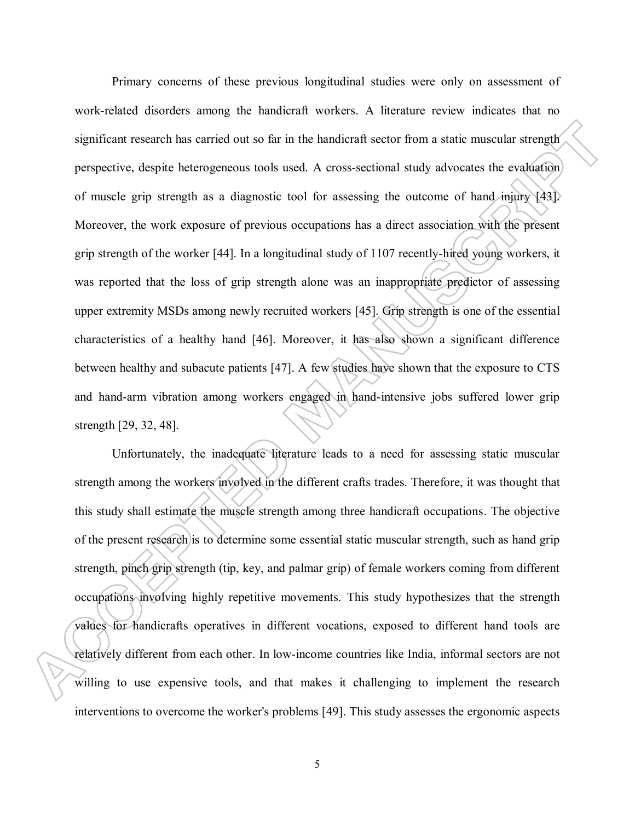Primary concerns of these previous longitudinal studies were only on assessment of work-related disorders among the handicraft workers. A literature review indicates that no significant research has carried out so far in the handicraft sector from a static muscular strength perspective, despite heterogeneous tools used. A cross-sectional study advocates the evaluation of muscle grip strength as a diagnostic tool for assessing the outcome of hand injury [43]. Moreover, the work exposure of previous occupations has a direct association with the present grip strength of the worker [44]. In a longitudinal study of 1107 recently-hired young workers, it was reported that the loss of grip strength alone was an inappropriate predictor of assessing upper extremity MSDs among newly recruited workers [45]. Grip strength is one of the essential characteristics of a healthy hand [46]. Moreover, it has also shown a significant difference between healthy and subacute patients [47]. A few studies have shown that the exposure to CTS and hand-arm vibration among workers engaged in hand-intensive jobs suffered lower grip strength [29, 32, 48].

Unfortunately, the inadequate literature leads to a need for assessing static muscular strength among the workers involved in the different crafts trades. Therefore, it was thought that this study shall estimate the muscle strength among three handicraft occupations. The objective of the present research is to determine some essential static muscular strength, such as hand grip strength, pinch grip strength (tip, key, and palmar grip) of female workers coming from different occupations involving highly repetitive movements. This study hypothesizes that the strength values for handicrafts operatives in different vocations, exposed to different hand tools are relatively different from each other. In low-income countries like India, informal sectors are not willing to use expensive tools, and that makes it challenging to implement the research interventions to overcome the worker's problems [49]. This study assesses the ergonomic aspects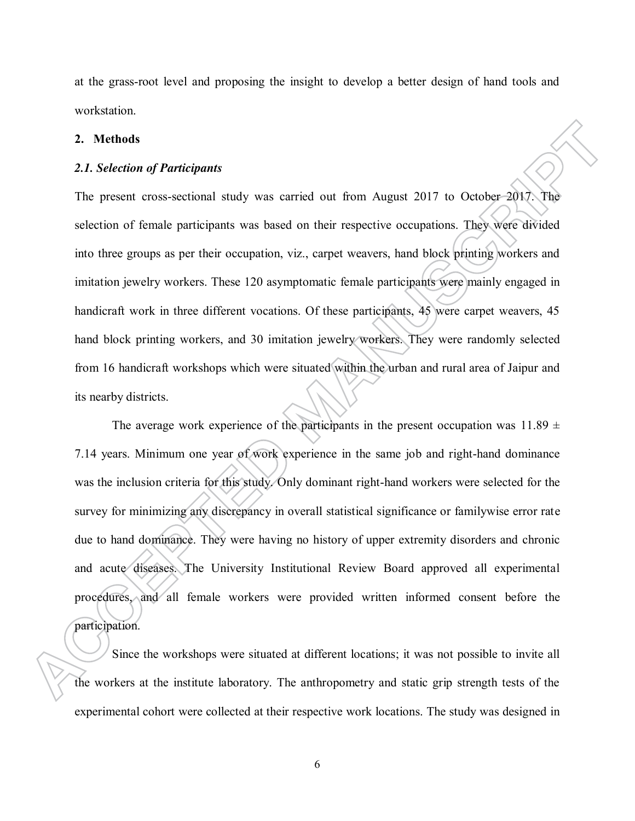at the grass-root level and proposing the insight to develop a better design of hand tools and workstation.

#### **2. Methods**

#### *2.1. Selection of Participants*

The present cross-sectional study was carried out from August 2017 to October 2017. The selection of female participants was based on their respective occupations. They were divided into three groups as per their occupation, viz., carpet weavers, hand block printing workers and imitation jewelry workers. These 120 asymptomatic female participants were mainly engaged in handicraft work in three different vocations. Of these participants, 45 were carpet weavers, 45 hand block printing workers, and 30 imitation jewelry workers. They were randomly selected from 16 handicraft workshops which were situated within the urban and rural area of Jaipur and its nearby districts.

The average work experience of the participants in the present occupation was  $11.89 \pm$ 7.14 years. Minimum one year of work experience in the same job and right-hand dominance was the inclusion criteria for this study. Only dominant right-hand workers were selected for the survey for minimizing any discrepancy in overall statistical significance or familywise error rate due to hand dominance. They were having no history of upper extremity disorders and chronic and acute diseases. The University Institutional Review Board approved all experimental procedures, and all female workers were provided written informed consent before the participation.

Since the workshops were situated at different locations; it was not possible to invite all the workers at the institute laboratory. The anthropometry and static grip strength tests of the experimental cohort were collected at their respective work locations. The study was designed in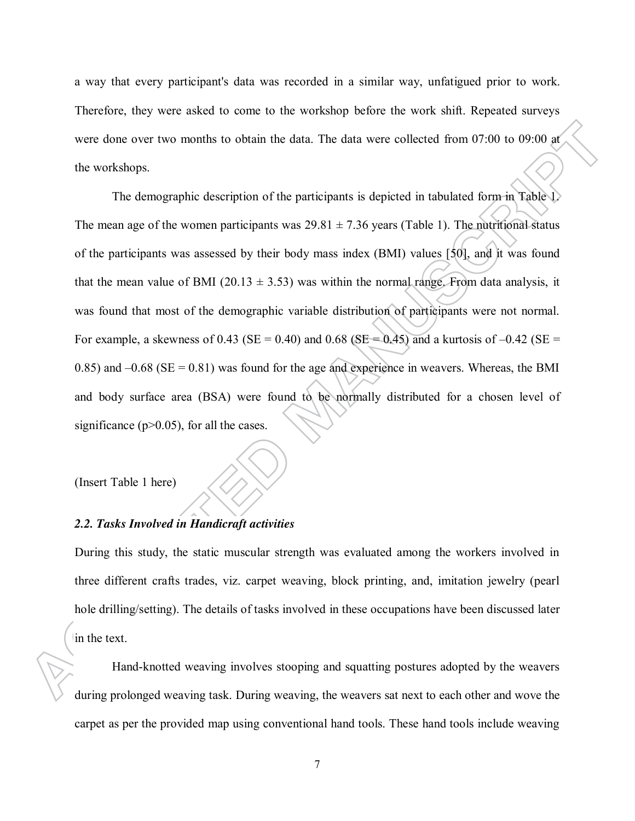a way that every participant's data was recorded in a similar way, unfatigued prior to work. Therefore, they were asked to come to the workshop before the work shift. Repeated surveys were done over two months to obtain the data. The data were collected from 07:00 to 09:00 at the workshops.

The demographic description of the participants is depicted in tabulated form in Table 1. The mean age of the women participants was  $29.81 \pm 7.36$  years (Table 1). The nutritional status of the participants was assessed by their body mass index (BMI) values [50], and it was found that the mean value of BMI (20.13  $\pm$  3.53) was within the normal range. From data analysis, it was found that most of the demographic variable distribution of participants were not normal. For example, a skewness of 0.43 (SE = 0.40) and 0.68 (SE = 0.45) and a kurtosis of  $-0.42$  (SE = 0.85) and  $-0.68$  (SE = 0.81) was found for the age and experience in weavers. Whereas, the BMI and body surface area (BSA) were found to be normally distributed for a chosen level of significance ( $p$  $>$ 0.05), for all the cases.

(Insert Table 1 here)

## *2.2. Tasks Involved in Handicraft activities*

During this study, the static muscular strength was evaluated among the workers involved in three different crafts trades, viz. carpet weaving, block printing, and, imitation jewelry (pearl hole drilling/setting). The details of tasks involved in these occupations have been discussed later in the text.

Hand-knotted weaving involves stooping and squatting postures adopted by the weavers during prolonged weaving task. During weaving, the weavers sat next to each other and wove the carpet as per the provided map using conventional hand tools. These hand tools include weaving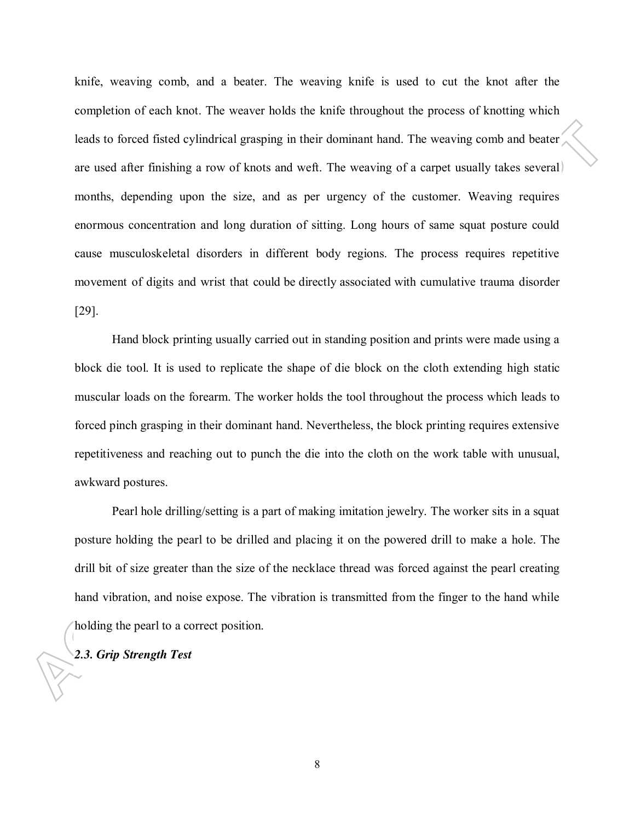knife, weaving comb, and a beater. The weaving knife is used to cut the knot after the completion of each knot. The weaver holds the knife throughout the process of knotting which leads to forced fisted cylindrical grasping in their dominant hand. The weaving comb and beater are used after finishing a row of knots and weft. The weaving of a carpet usually takes several months, depending upon the size, and as per urgency of the customer. Weaving requires enormous concentration and long duration of sitting. Long hours of same squat posture could cause musculoskeletal disorders in different body regions. The process requires repetitive movement of digits and wrist that could be directly associated with cumulative trauma disorder [29].

Hand block printing usually carried out in standing position and prints were made using a block die tool. It is used to replicate the shape of die block on the cloth extending high static muscular loads on the forearm. The worker holds the tool throughout the process which leads to forced pinch grasping in their dominant hand. Nevertheless, the block printing requires extensive repetitiveness and reaching out to punch the die into the cloth on the work table with unusual, awkward postures.

Pearl hole drilling/setting is a part of making imitation jewelry. The worker sits in a squat posture holding the pearl to be drilled and placing it on the powered drill to make a hole. The drill bit of size greater than the size of the necklace thread was forced against the pearl creating hand vibration, and noise expose. The vibration is transmitted from the finger to the hand while holding the pearl to a correct position.

## *2.3. Grip Strength Test*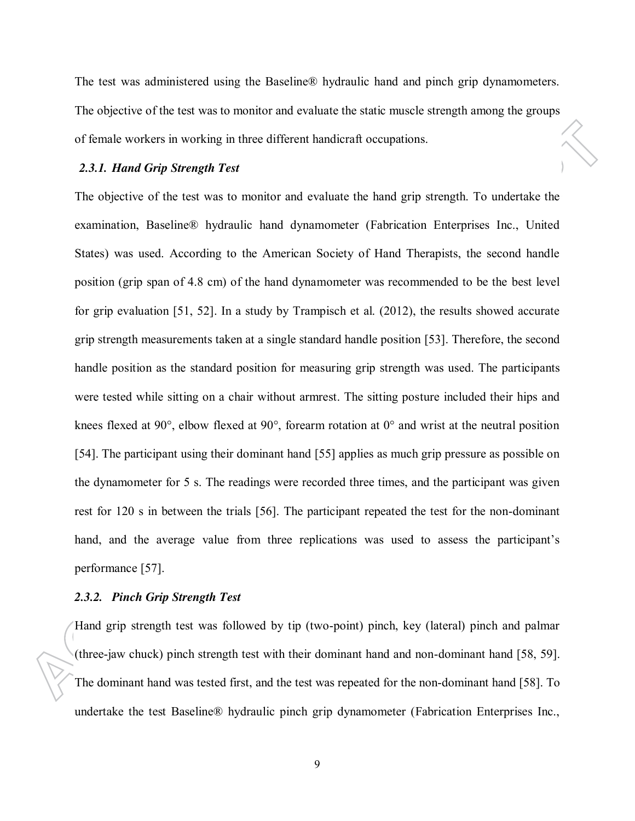The test was administered using the Baseline® hydraulic hand and pinch grip dynamometers. The objective of the test was to monitor and evaluate the static muscle strength among the groups of female workers in working in three different handicraft occupations.

### *2.3.1. Hand Grip Strength Test*

The objective of the test was to monitor and evaluate the hand grip strength. To undertake the examination, Baseline® hydraulic hand dynamometer (Fabrication Enterprises Inc., United States) was used. According to the American Society of Hand Therapists, the second handle position (grip span of 4.8 cm) of the hand dynamometer was recommended to be the best level for grip evaluation [51, 52]. In a study by Trampisch et al. (2012), the results showed accurate grip strength measurements taken at a single standard handle position [53]. Therefore, the second handle position as the standard position for measuring grip strength was used. The participants were tested while sitting on a chair without armrest. The sitting posture included their hips and knees flexed at 90°, elbow flexed at 90°, forearm rotation at 0° and wrist at the neutral position [54]. The participant using their dominant hand [55] applies as much grip pressure as possible on the dynamometer for 5 s. The readings were recorded three times, and the participant was given rest for 120 s in between the trials [56]. The participant repeated the test for the non-dominant hand, and the average value from three replications was used to assess the participant's performance [57].

### *2.3.2. Pinch Grip Strength Test*

Hand grip strength test was followed by tip (two-point) pinch, key (lateral) pinch and palmar (three-jaw chuck) pinch strength test with their dominant hand and non-dominant hand [58, 59]. The dominant hand was tested first, and the test was repeated for the non-dominant hand [58]. To undertake the test Baseline® hydraulic pinch grip dynamometer (Fabrication Enterprises Inc.,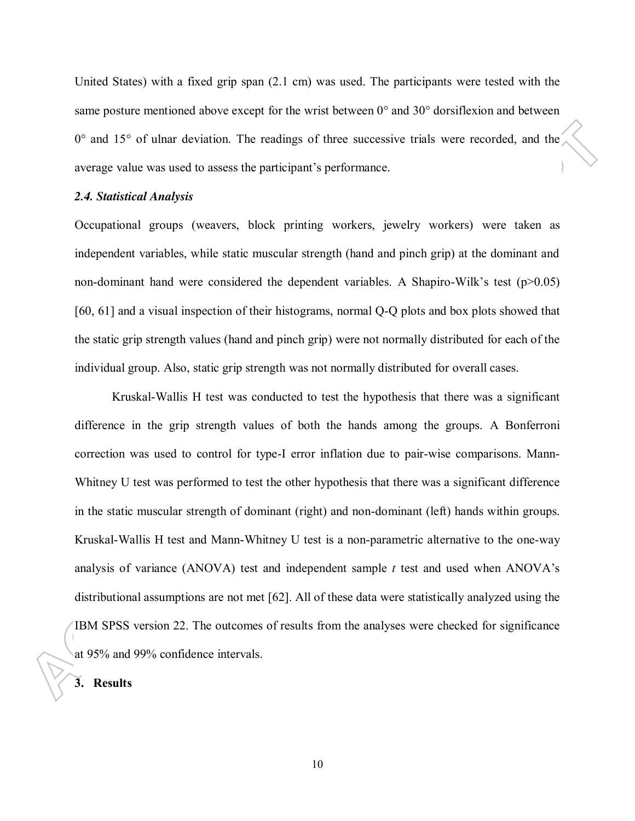United States) with a fixed grip span (2.1 cm) was used. The participants were tested with the same posture mentioned above except for the wrist between 0° and 30° dorsiflexion and between  $0^{\circ}$  and  $15^{\circ}$  of ulnar deviation. The readings of three successive trials were recorded, and the average value was used to assess the participant's performance.

### *2.4. Statistical Analysis*

Occupational groups (weavers, block printing workers, jewelry workers) were taken as independent variables, while static muscular strength (hand and pinch grip) at the dominant and non-dominant hand were considered the dependent variables. A Shapiro-Wilk's test ( $p>0.05$ ) [60, 61] and a visual inspection of their histograms, normal Q-Q plots and box plots showed that the static grip strength values (hand and pinch grip) were not normally distributed for each of the individual group. Also, static grip strength was not normally distributed for overall cases.

Kruskal-Wallis H test was conducted to test the hypothesis that there was a significant difference in the grip strength values of both the hands among the groups. A Bonferroni correction was used to control for type-I error inflation due to pair-wise comparisons. Mann-Whitney U test was performed to test the other hypothesis that there was a significant difference in the static muscular strength of dominant (right) and non-dominant (left) hands within groups. Kruskal-Wallis H test and Mann-Whitney U test is a non-parametric alternative to the one-way analysis of variance (ANOVA) test and independent sample *t* test and used when ANOVA's distributional assumptions are not met [62]. All of these data were statistically analyzed using the IBM SPSS version 22. The outcomes of results from the analyses were checked for significance at 95% and 99% confidence intervals.

## **3. Results**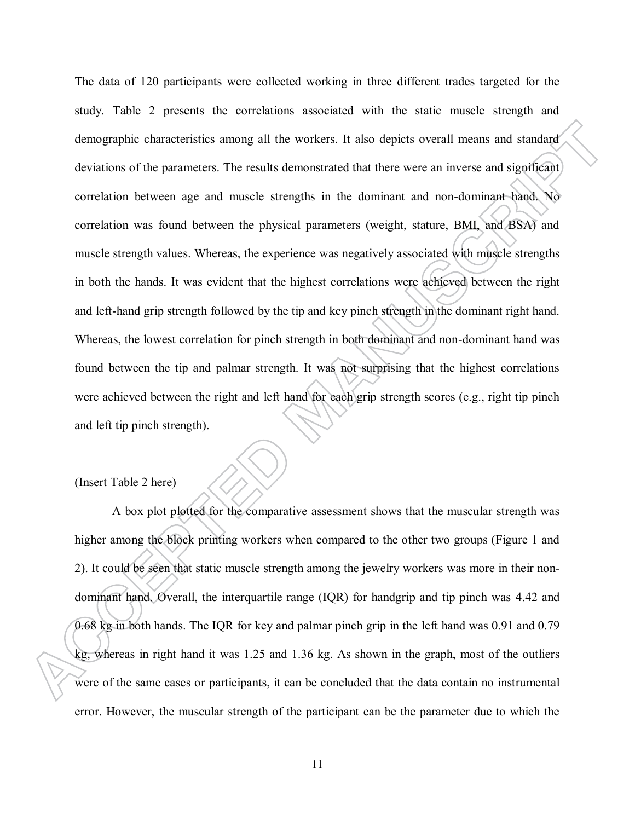The data of 120 participants were collected working in three different trades targeted for the study. Table 2 presents the correlations associated with the static muscle strength and demographic characteristics among all the workers. It also depicts overall means and standard deviations of the parameters. The results demonstrated that there were an inverse and significant correlation between age and muscle strengths in the dominant and non-dominant hand. No correlation was found between the physical parameters (weight, stature, BMI, and BSA) and muscle strength values. Whereas, the experience was negatively associated with muscle strengths in both the hands. It was evident that the highest correlations were achieved between the right and left-hand grip strength followed by the tip and key pinch strength in the dominant right hand. Whereas, the lowest correlation for pinch strength in both dominant and non-dominant hand was found between the tip and palmar strength. It was not surprising that the highest correlations were achieved between the right and left hand for each grip strength scores (e.g., right tip pinch and left tip pinch strength).

(Insert Table 2 here)

A box plot plotted for the comparative assessment shows that the muscular strength was higher among the block printing workers when compared to the other two groups (Figure 1 and 2). It could be seen that static muscle strength among the jewelry workers was more in their nondominant hand. Overall, the interquartile range (IQR) for handgrip and tip pinch was 4.42 and 0.68 kg in both hands. The IQR for key and palmar pinch grip in the left hand was 0.91 and 0.79 kg, whereas in right hand it was 1.25 and 1.36 kg. As shown in the graph, most of the outliers were of the same cases or participants, it can be concluded that the data contain no instrumental error. However, the muscular strength of the participant can be the parameter due to which the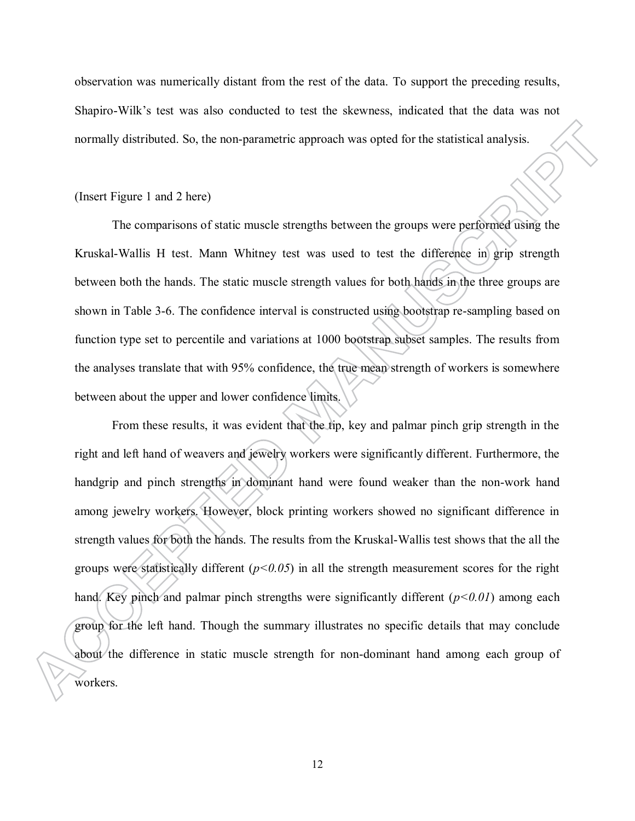observation was numerically distant from the rest of the data. To support the preceding results, Shapiro-Wilk's test was also conducted to test the skewness, indicated that the data was not normally distributed. So, the non-parametric approach was opted for the statistical analysis.

### (Insert Figure 1 and 2 here)

The comparisons of static muscle strengths between the groups were performed using the Kruskal-Wallis H test. Mann Whitney test was used to test the difference in grip strength between both the hands. The static muscle strength values for both hands in the three groups are shown in Table 3-6. The confidence interval is constructed using bootstrap re-sampling based on function type set to percentile and variations at 1000 bootstrap subset samples. The results from the analyses translate that with 95% confidence, the true mean strength of workers is somewhere between about the upper and lower confidence limits.

From these results, it was evident that the tip, key and palmar pinch grip strength in the right and left hand of weavers and jewelry workers were significantly different. Furthermore, the handgrip and pinch strengths in dominant hand were found weaker than the non-work hand among jewelry workers. However, block printing workers showed no significant difference in strength values for both the hands. The results from the Kruskal-Wallis test shows that the all the groups were statistically different  $(p<0.05)$  in all the strength measurement scores for the right hand. Key pinch and palmar pinch strengths were significantly different ( $p<0.01$ ) among each group for the left hand. Though the summary illustrates no specific details that may conclude about the difference in static muscle strength for non-dominant hand among each group of workers.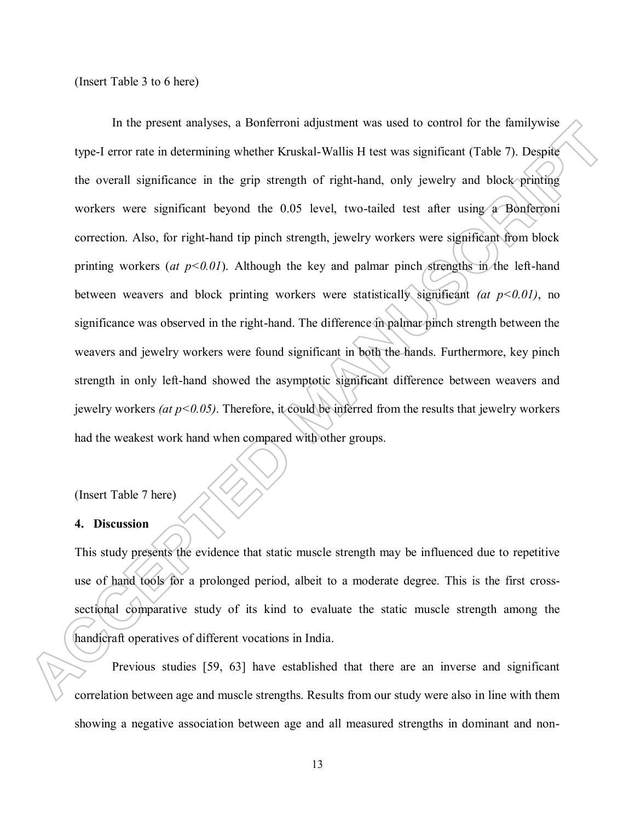(Insert Table 3 to 6 here)

In the present analyses, a Bonferroni adjustment was used to control for the familywise type-I error rate in determining whether Kruskal-Wallis H test was significant (Table 7). Despite the overall significance in the grip strength of right-hand, only jewelry and block printing workers were significant beyond the 0.05 level, two-tailed test after using a Bonferroni correction. Also, for right-hand tip pinch strength, jewelry workers were significant from block printing workers (*at*  $p<0.01$ ). Although the key and palmar pinch strengths in the left-hand between weavers and block printing workers were statistically significant *(at p<0.01)*, no significance was observed in the right-hand. The difference in palmar pinch strength between the weavers and jewelry workers were found significant in both the hands. Furthermore, key pinch strength in only left-hand showed the asymptotic significant difference between weavers and jewelry workers *(at p<0.05)*. Therefore, it could be inferred from the results that jewelry workers had the weakest work hand when compared with other groups.

(Insert Table 7 here)

#### **4. Discussion**

This study presents the evidence that static muscle strength may be influenced due to repetitive use of hand tools for a prolonged period, albeit to a moderate degree. This is the first crosssectional comparative study of its kind to evaluate the static muscle strength among the handicraft operatives of different vocations in India.

Previous studies [59, 63] have established that there are an inverse and significant correlation between age and muscle strengths. Results from our study were also in line with them showing a negative association between age and all measured strengths in dominant and non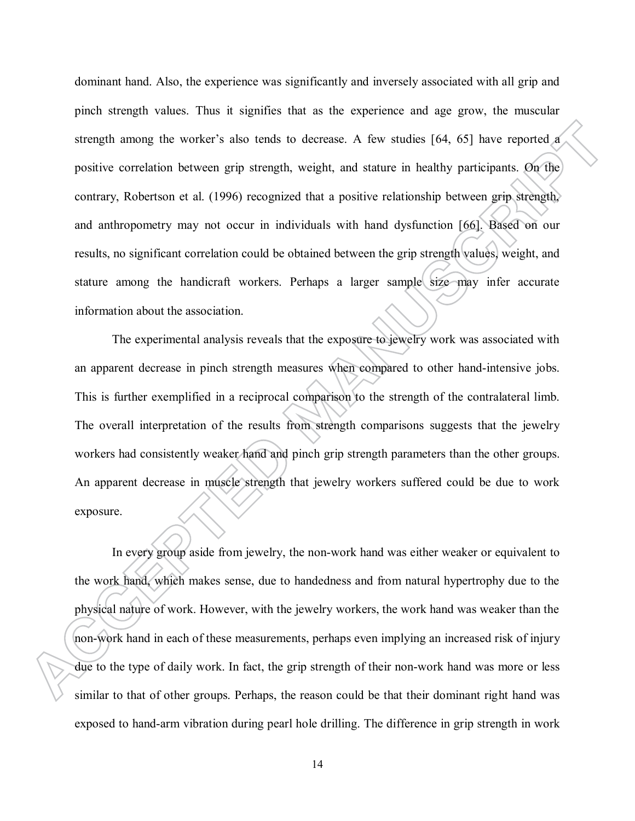dominant hand. Also, the experience was significantly and inversely associated with all grip and pinch strength values. Thus it signifies that as the experience and age grow, the muscular strength among the worker's also tends to decrease. A few studies [64, 65] have reported a positive correlation between grip strength, weight, and stature in healthy participants. On the contrary, Robertson et al. (1996) recognized that a positive relationship between grip strength, and anthropometry may not occur in individuals with hand dysfunction [66]. Based on our results, no significant correlation could be obtained between the grip strength values, weight, and stature among the handicraft workers. Perhaps a larger sample size may infer accurate information about the association.

The experimental analysis reveals that the exposure to jewelry work was associated with an apparent decrease in pinch strength measures when compared to other hand-intensive jobs. This is further exemplified in a reciprocal comparison to the strength of the contralateral limb. The overall interpretation of the results from strength comparisons suggests that the jewelry workers had consistently weaker hand and pinch grip strength parameters than the other groups. An apparent decrease in muscle strength that jewelry workers suffered could be due to work exposure.

In every group aside from jewelry, the non-work hand was either weaker or equivalent to the work hand, which makes sense, due to handedness and from natural hypertrophy due to the physical nature of work. However, with the jewelry workers, the work hand was weaker than the non-work hand in each of these measurements, perhaps even implying an increased risk of injury due to the type of daily work. In fact, the grip strength of their non-work hand was more or less similar to that of other groups. Perhaps, the reason could be that their dominant right hand was exposed to hand-arm vibration during pearl hole drilling. The difference in grip strength in work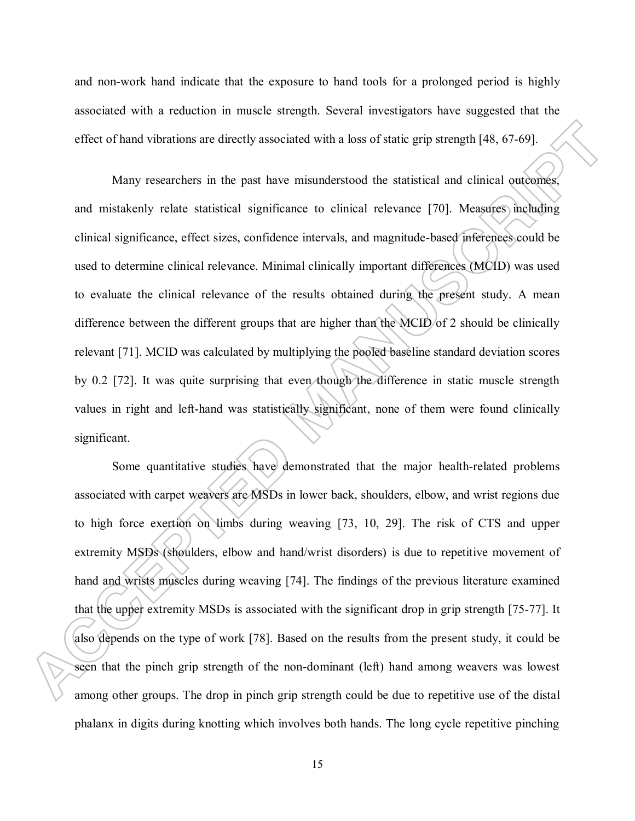and non-work hand indicate that the exposure to hand tools for a prolonged period is highly associated with a reduction in muscle strength. Several investigators have suggested that the effect of hand vibrations are directly associated with a loss of static grip strength [48, 67-69].

Many researchers in the past have misunderstood the statistical and clinical outcomes, and mistakenly relate statistical significance to clinical relevance [70]. Measures including clinical significance, effect sizes, confidence intervals, and magnitude-based inferences could be used to determine clinical relevance. Minimal clinically important differences (MCID) was used to evaluate the clinical relevance of the results obtained during the present study. A mean difference between the different groups that are higher than the MCID of 2 should be clinically relevant [71]. MCID was calculated by multiplying the pooled baseline standard deviation scores by 0.2 [72]. It was quite surprising that even though the difference in static muscle strength values in right and left-hand was statistically significant, none of them were found clinically significant.

Some quantitative studies have demonstrated that the major health-related problems associated with carpet weavers are MSDs in lower back, shoulders, elbow, and wrist regions due to high force exertion on limbs during weaving [73, 10, 29]. The risk of CTS and upper extremity MSDs (shoulders, elbow and hand/wrist disorders) is due to repetitive movement of hand and wrists muscles during weaving [74]. The findings of the previous literature examined that the upper extremity MSDs is associated with the significant drop in grip strength [75-77]. It also depends on the type of work [78]. Based on the results from the present study, it could be seen that the pinch grip strength of the non-dominant (left) hand among weavers was lowest among other groups. The drop in pinch grip strength could be due to repetitive use of the distal phalanx in digits during knotting which involves both hands. The long cycle repetitive pinching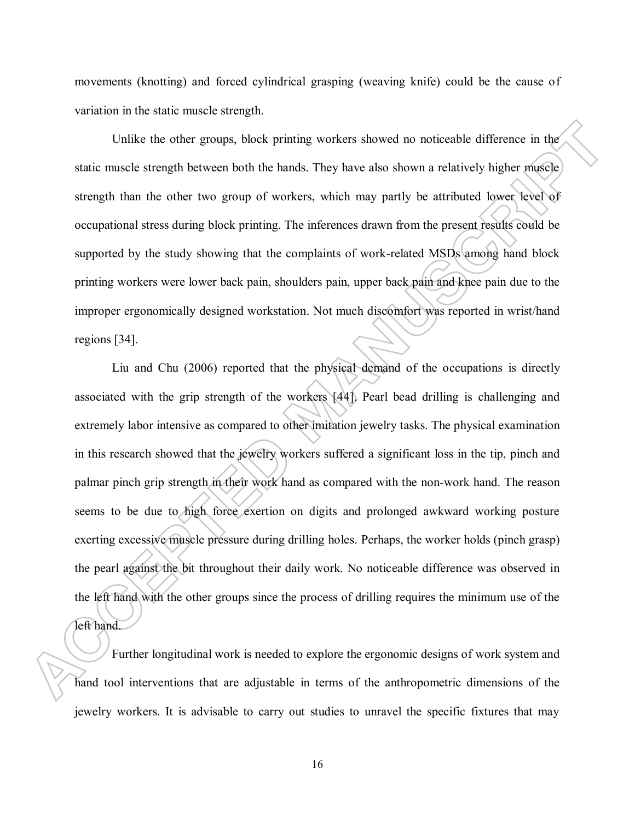movements (knotting) and forced cylindrical grasping (weaving knife) could be the cause of variation in the static muscle strength.

Unlike the other groups, block printing workers showed no noticeable difference in the static muscle strength between both the hands. They have also shown a relatively higher muscle strength than the other two group of workers, which may partly be attributed lower level of occupational stress during block printing. The inferences drawn from the present results could be supported by the study showing that the complaints of work-related MSDs among hand block printing workers were lower back pain, shoulders pain, upper back pain and knee pain due to the improper ergonomically designed workstation. Not much discomfort was reported in wrist/hand regions [34].

Liu and Chu (2006) reported that the physical demand of the occupations is directly associated with the grip strength of the workers [44]. Pearl bead drilling is challenging and extremely labor intensive as compared to other imitation jewelry tasks. The physical examination in this research showed that the jewelry workers suffered a significant loss in the tip, pinch and palmar pinch grip strength in their work hand as compared with the non-work hand. The reason seems to be due to high force exertion on digits and prolonged awkward working posture exerting excessive muscle pressure during drilling holes. Perhaps, the worker holds (pinch grasp) the pearl against the bit throughout their daily work. No noticeable difference was observed in the left hand with the other groups since the process of drilling requires the minimum use of the left hand.

Further longitudinal work is needed to explore the ergonomic designs of work system and hand tool interventions that are adjustable in terms of the anthropometric dimensions of the jewelry workers. It is advisable to carry out studies to unravel the specific fixtures that may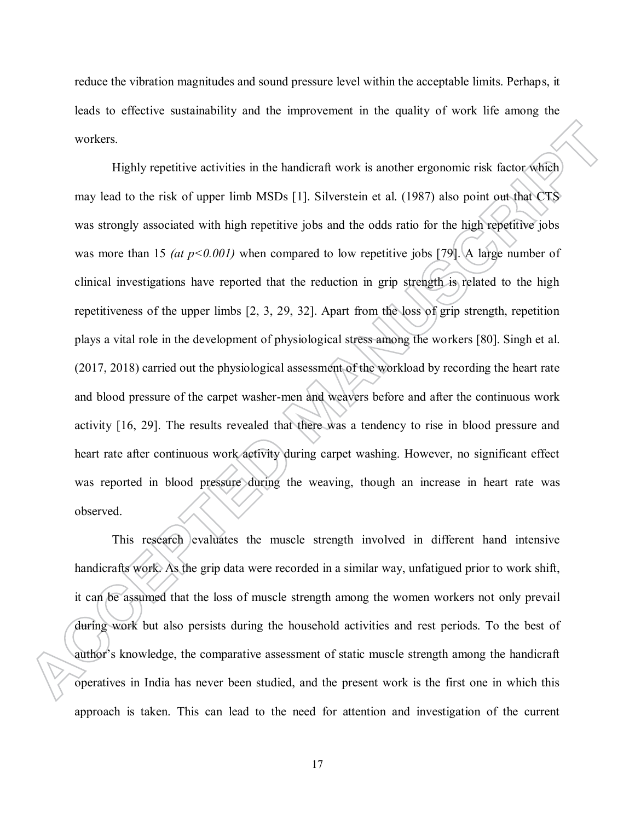reduce the vibration magnitudes and sound pressure level within the acceptable limits. Perhaps, it leads to effective sustainability and the improvement in the quality of work life among the workers.

Highly repetitive activities in the handicraft work is another ergonomic risk factor which may lead to the risk of upper limb MSDs [1]. Silverstein et al. (1987) also point out that CTS was strongly associated with high repetitive jobs and the odds ratio for the high repetitive jobs was more than 15 *(at p<0.001)* when compared to low repetitive jobs [79]. A large number of clinical investigations have reported that the reduction in grip strength is related to the high repetitiveness of the upper limbs [2, 3, 29, 32]. Apart from the loss of grip strength, repetition plays a vital role in the development of physiological stress among the workers [80]. Singh et al. (2017, 2018) carried out the physiological assessment of the workload by recording the heart rate and blood pressure of the carpet washer-men and weavers before and after the continuous work activity [16, 29]. The results revealed that there was a tendency to rise in blood pressure and heart rate after continuous work activity during carpet washing. However, no significant effect was reported in blood pressure during the weaving, though an increase in heart rate was observed.

This research evaluates the muscle strength involved in different hand intensive handicrafts work. As the grip data were recorded in a similar way, unfatigued prior to work shift, it can be assumed that the loss of muscle strength among the women workers not only prevail during work but also persists during the household activities and rest periods. To the best of author's knowledge, the comparative assessment of static muscle strength among the handicraft operatives in India has never been studied, and the present work is the first one in which this approach is taken. This can lead to the need for attention and investigation of the current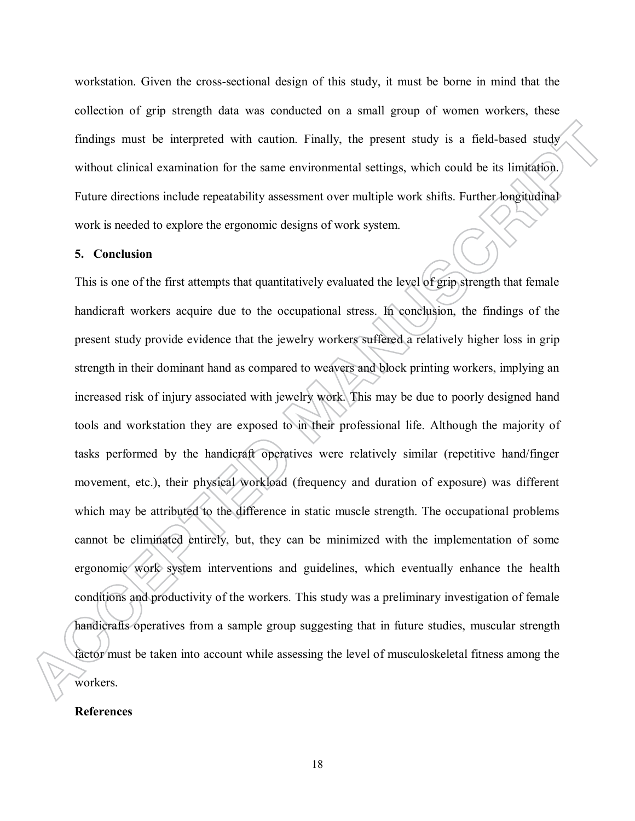workstation. Given the cross-sectional design of this study, it must be borne in mind that the collection of grip strength data was conducted on a small group of women workers, these findings must be interpreted with caution. Finally, the present study is a field-based study without clinical examination for the same environmental settings, which could be its limitation. Future directions include repeatability assessment over multiple work shifts. Further longitudinal work is needed to explore the ergonomic designs of work system.

## **5. Conclusion**

This is one of the first attempts that quantitatively evaluated the level of grip strength that female handicraft workers acquire due to the occupational stress. In conclusion, the findings of the present study provide evidence that the jewelry workers suffered a relatively higher loss in grip strength in their dominant hand as compared to weavers and block printing workers, implying an increased risk of injury associated with jewelry work. This may be due to poorly designed hand tools and workstation they are exposed to in their professional life. Although the majority of tasks performed by the handicraft operatives were relatively similar (repetitive hand/finger movement, etc.), their physical workload (frequency and duration of exposure) was different which may be attributed to the difference in static muscle strength. The occupational problems cannot be eliminated entirely, but, they can be minimized with the implementation of some ergonomic work system interventions and guidelines, which eventually enhance the health conditions and productivity of the workers. This study was a preliminary investigation of female handicrafts operatives from a sample group suggesting that in future studies, muscular strength factor must be taken into account while assessing the level of musculoskeletal fitness among the workers.

### **References**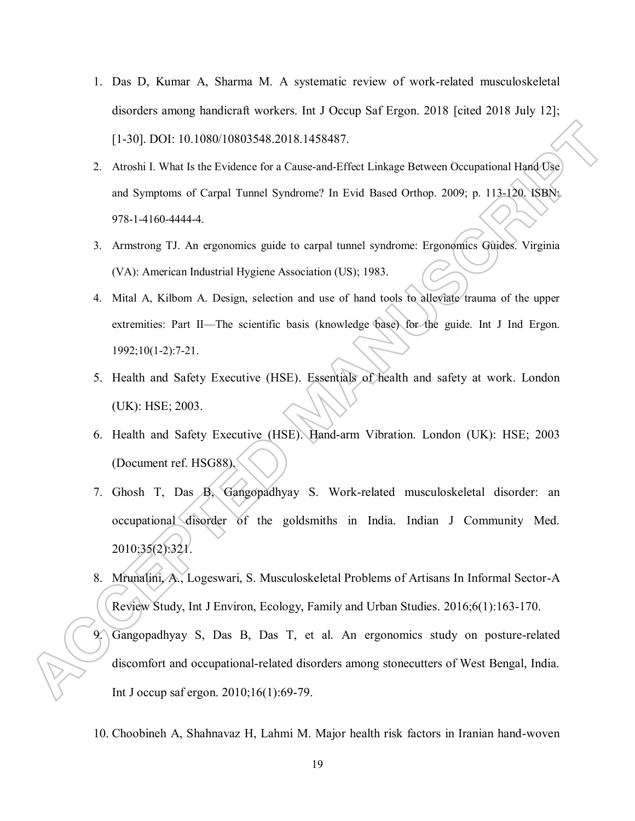- 1. Das D, Kumar A, Sharma M. A systematic review of work-related musculoskeletal disorders among handicraft workers. Int J Occup Saf Ergon. 2018 [cited 2018 July 12]; [1-30]. DOI: 10.1080/10803548.2018.1458487.
- 2. Atroshi I. What Is the Evidence for a Cause-and-Effect Linkage Between Occupational Hand Use and Symptoms of Carpal Tunnel Syndrome? In Evid Based Orthop. 2009; p. 113-120. ISBN: 978-1-4160-4444-4.
- 3. Armstrong TJ. An ergonomics guide to carpal tunnel syndrome: Ergonomics Guides. Virginia (VA): American Industrial Hygiene Association (US); 1983.
- 4. Mital A, Kilbom A. Design, selection and use of hand tools to alleviate trauma of the upper extremities: Part II—The scientific basis (knowledge base) for the guide. Int J Ind Ergon. 1992;10(1-2):7-21.
- 5. Health and Safety Executive (HSE). Essentials of health and safety at work. London (UK): HSE; 2003.
- 6. Health and Safety Executive (HSE). Hand-arm Vibration. London (UK): HSE; 2003 (Document ref. HSG88).
- 7. Ghosh T, Das B, Gangopadhyay S. Work-related musculoskeletal disorder: an occupational disorder of the goldsmiths in India. Indian J Community Med. 2010;35(2):321.
- 8. Mrunalini, A., Logeswari, S. Musculoskeletal Problems of Artisans In Informal Sector-A Review Study, Int J Environ, Ecology, Family and Urban Studies. 2016;6(1):163-170.
- 9. Gangopadhyay S, Das B, Das T, et al. An ergonomics study on posture-related discomfort and occupational-related disorders among stonecutters of West Bengal, India. Int J occup saf ergon. 2010;16(1):69-79.
- 10. Choobineh A, Shahnavaz H, Lahmi M. Major health risk factors in Iranian hand-woven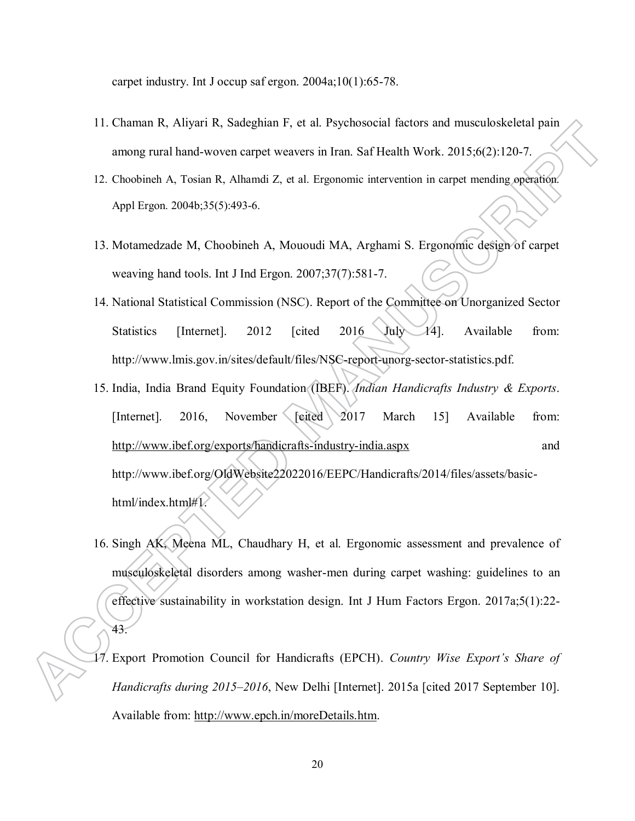carpet industry. Int J occup saf ergon. 2004a;10(1):65-78.

- 11. Chaman R, Aliyari R, Sadeghian F, et al. Psychosocial factors and musculoskeletal pain among rural hand-woven carpet weavers in Iran. Saf Health Work. 2015;6(2):120-7.
- 12. Choobineh A, Tosian R, Alhamdi Z, et al. Ergonomic intervention in carpet mending operation. Appl Ergon. 2004b;35(5):493-6.
- 13. Motamedzade M, Choobineh A, Mououdi MA, Arghami S. Ergonomic design of carpet weaving hand tools. Int J Ind Ergon. 2007;37(7):581-7.
- 14. National Statistical Commission (NSC). Report of the Committee on Unorganized Sector Statistics [Internet]. 2012 [cited 2016 July 14]. Available from: http://www.lmis.gov.in/sites/default/files/NSC-report-unorg-sector-statistics.pdf.
- 15. India, India Brand Equity Foundation (IBEF). *Indian Handicrafts Industry & Exports*. [Internet]. 2016, November [cited 2017 March 15] Available from: <http://www.ibef.org/exports/handicrafts-industry-india.aspx>and http://www.ibef.org/OldWebsite22022016/EEPC/Handicrafts/2014/files/assets/basichtml/index.html#1.
- 16. Singh AK, Meena ML, Chaudhary H, et al. Ergonomic assessment and prevalence of musculoskeletal disorders among washer-men during carpet washing: guidelines to an effective sustainability in workstation design. Int J Hum Factors Ergon. 2017a;5(1):22- 43.
- 17. Export Promotion Council for Handicrafts (EPCH). *Country Wise Export's Share of Handicrafts during 2015–2016*, New Delhi [Internet]. 2015a [cited 2017 September 10]. Available from: [http://www.epch.in/moreDetails.htm.](http://www.epch.in/moreDetails.htm)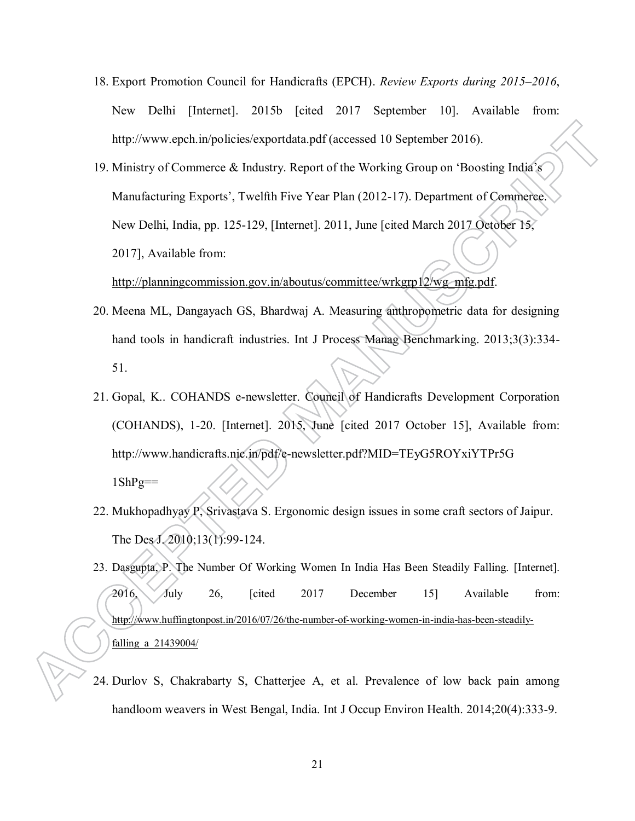- 18. Export Promotion Council for Handicrafts (EPCH). *Review Exports during 2015–2016*, New Delhi [Internet]. 2015b [cited 2017 September 10]. Available from: http://www.epch.in/policies/exportdata.pdf (accessed 10 September 2016).
- 19. Ministry of Commerce & Industry. Report of the Working Group on 'Boosting India's Manufacturing Exports', Twelfth Five Year Plan (2012-17). Department of Commerce. New Delhi, India, pp. 125-129, [Internet]. 2011, June [cited March 2017 October 15, 2017], Available from:

## [http://planningcommission.gov.in/aboutus/committee/wrkgrp12/wg\\_mfg.pdf.](http://planningcommission.gov.in/aboutus/committee/wrkgrp12/wg_mfg.pdf)

- 20. Meena ML, Dangayach GS, Bhardwaj A. Measuring anthropometric data for designing hand tools in handicraft industries. Int J Process Manag Benchmarking. 2013;3(3):334- 51.
- 21. Gopal, K.. COHANDS e-newsletter. Council of Handicrafts Development Corporation (COHANDS), 1-20. [Internet]. 2015, June [cited 2017 October 15], Available from: http://www.handicrafts.nic.in/pdf/e-newsletter.pdf?MID=TEyG5ROYxiYTPr5G  $1$ ShPg==
- 22. Mukhopadhyay P, Srivastava S. Ergonomic design issues in some craft sectors of Jaipur. The Des 1.2010;13(1):99-124.
- 23. Dasgupta, P. The Number Of Working Women In India Has Been Steadily Falling. [Internet]. 2016, July 26, [cited 2017 December 15] Available from: [http://www.huffingtonpost.in/2016/07/26/the-number-of-working-women-in-india-has-been-steadily](http://www.huffingtonpost.in/2016/07/26/the-number-of-working-women-in-india-has-been-steadily-falling_a_21439004/)falling a 21439004/
- 24. Durlov S, Chakrabarty S, Chatterjee A, et al. Prevalence of low back pain among handloom weavers in West Bengal, India. Int J Occup Environ Health. 2014;20(4):333-9.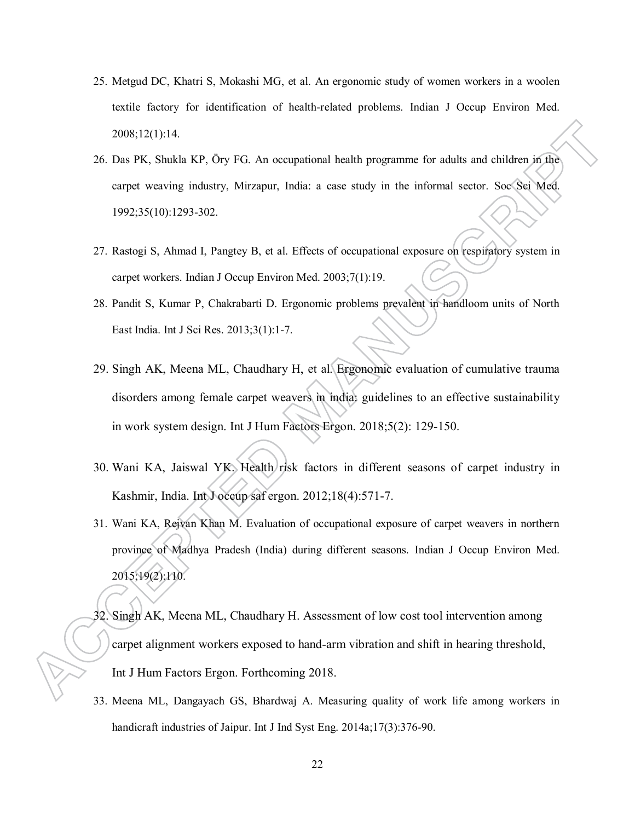- 25. Metgud DC, Khatri S, Mokashi MG, et al. An ergonomic study of women workers in a woolen textile factory for identification of health-related problems. Indian J Occup Environ Med. 2008;12(1):14.
- 26. Das PK, Shukla KP, Öry FG. An occupational health programme for adults and children in the carpet weaving industry, Mirzapur, India: a case study in the informal sector. Soc Sci Med. 1992;35(10):1293-302.
- 27. Rastogi S, Ahmad I, Pangtey B, et al. Effects of occupational exposure on respiratory system in carpet workers. Indian J Occup Environ Med. 2003;7(1):19.
- 28. Pandit S, Kumar P, Chakrabarti D. Ergonomic problems prevalent in handloom units of North East India. Int J Sci Res. 2013;3(1):1-7.
- 29. Singh AK, Meena ML, Chaudhary H, et al. Ergonomic evaluation of cumulative trauma disorders among female carpet weavers in india: guidelines to an effective sustainability in work system design. Int J Hum Factors Ergon. 2018;5(2): 129-150.
- 30. Wani KA, Jaiswal YK. Health risk factors in different seasons of carpet industry in Kashmir, India. Int J occup saf ergon. 2012;18(4):571-7.
- 31. Wani KA, Rejvan Khan M. Evaluation of occupational exposure of carpet weavers in northern province of Madhya Pradesh (India) during different seasons. Indian J Occup Environ Med. 2015;19(2):110.
- 32. Singh AK, Meena ML, Chaudhary H. Assessment of low cost tool intervention among carpet alignment workers exposed to hand-arm vibration and shift in hearing threshold, Int J Hum Factors Ergon. Forthcoming 2018.
- 33. Meena ML, Dangayach GS, Bhardwaj A. Measuring quality of work life among workers in handicraft industries of Jaipur. Int J Ind Syst Eng. 2014a;17(3):376-90.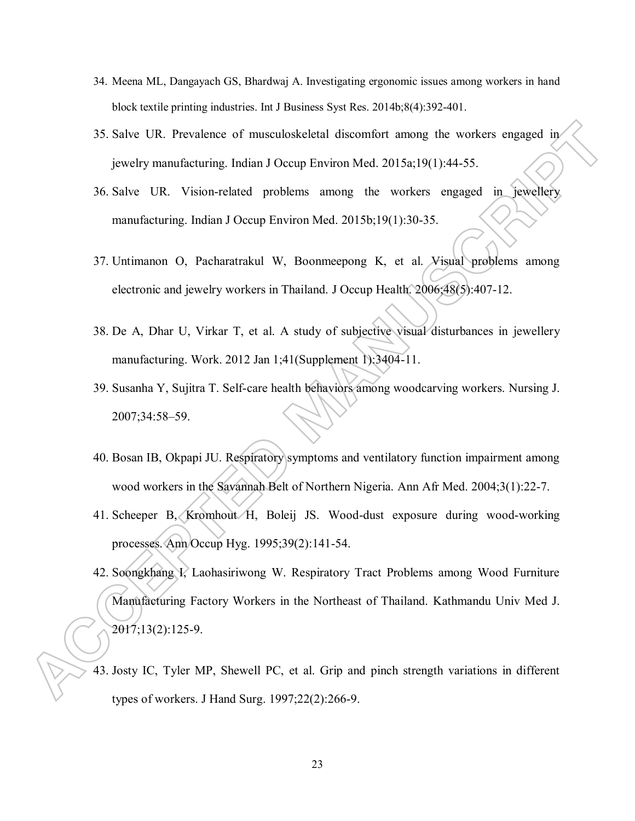- 34. Meena ML, Dangayach GS, Bhardwaj A. Investigating ergonomic issues among workers in hand block textile printing industries. Int J Business Syst Res. 2014b;8(4):392-401.
- 35. Salve UR. Prevalence of musculoskeletal discomfort among the workers engaged in jewelry manufacturing. Indian J Occup Environ Med. 2015a;19(1):44-55.
- 36. Salve UR. Vision-related problems among the workers engaged in jewellery manufacturing. Indian J Occup Environ Med. 2015b;19(1):30-35.
- 37. Untimanon O, Pacharatrakul W, Boonmeepong K, et al. Visual problems among electronic and jewelry workers in Thailand. J Occup Health. 2006;48(5):407-12.
- 38. De A, Dhar U, Virkar T, et al. A study of subjective visual disturbances in jewellery manufacturing. Work. 2012 Jan 1;41(Supplement 1):3404-11.
- 39. Susanha Y, Sujitra T. Self-care health behaviors among woodcarving workers. Nursing J. 2007;34:58–59.
- 40. Bosan IB, Okpapi JU. Respiratory symptoms and ventilatory function impairment among wood workers in the Savannah Belt of Northern Nigeria. Ann Afr Med. 2004;3(1):22-7.
- 41. Scheeper B, Kromhout H, Boleij JS. Wood-dust exposure during wood-working processes. Ann Occup Hyg. 1995;39(2):141-54.
- 42. Soongkhang I, Laohasiriwong W. Respiratory Tract Problems among Wood Furniture Manufacturing Factory Workers in the Northeast of Thailand. Kathmandu Univ Med J. 2017;13(2):125-9.
- 43. Josty IC, Tyler MP, Shewell PC, et al. Grip and pinch strength variations in different types of workers. J Hand Surg. 1997;22(2):266-9.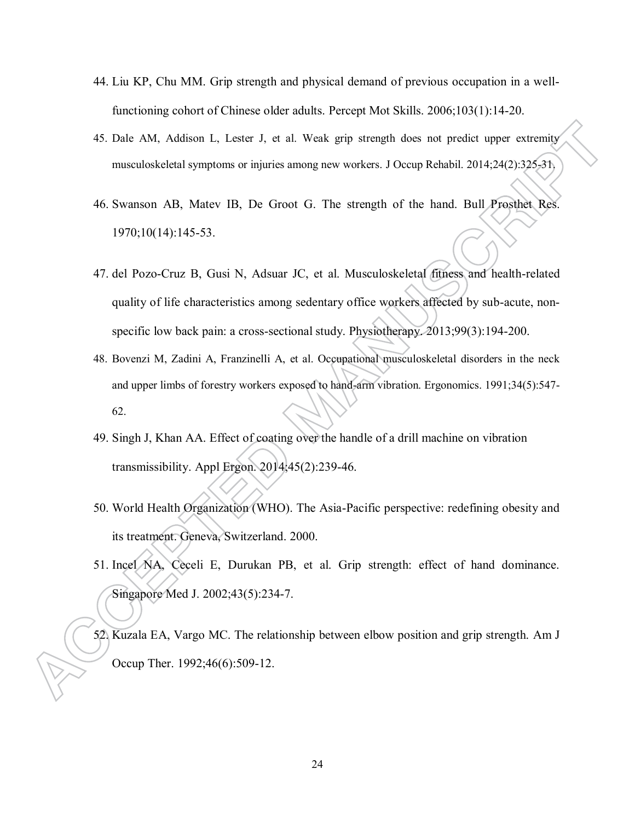- 44. Liu KP, Chu MM. Grip strength and physical demand of previous occupation in a wellfunctioning cohort of Chinese older adults. Percept Mot Skills. 2006;103(1):14-20.
- 45. Dale AM, Addison L, Lester J, et al. Weak grip strength does not predict upper extremity musculoskeletal symptoms or injuries among new workers. J Occup Rehabil. 2014;24(2):325-31.
- 46. Swanson AB, Matev IB, De Groot G. The strength of the hand. Bull Prosthet Res. 1970;10(14):145-53.
- 47. del Pozo-Cruz B, Gusi N, Adsuar JC, et al. Musculoskeletal fitness and health-related quality of life characteristics among sedentary office workers affected by sub-acute, nonspecific low back pain: a cross-sectional study. Physiotherapy. 2013;99(3):194-200.
- 48. Bovenzi M, Zadini A, Franzinelli A, et al. Occupational musculoskeletal disorders in the neck and upper limbs of forestry workers exposed to hand-arm vibration. Ergonomics. 1991;34(5):547- 62.
- 49. Singh J, Khan AA. Effect of coating over the handle of a drill machine on vibration transmissibility. Appl Ergon. 2014;45(2):239-46.
- 50. World Health Organization (WHO). The Asia-Pacific perspective: redefining obesity and its treatment. Geneva, Switzerland. 2000.
- 51. Incel NA, Ceceli E, Durukan PB, et al. Grip strength: effect of hand dominance. Singapore Med J. 2002;43(5):234-7.
- 52. Kuzala EA, Vargo MC. The relationship between elbow position and grip strength. Am J Occup Ther. 1992;46(6):509-12.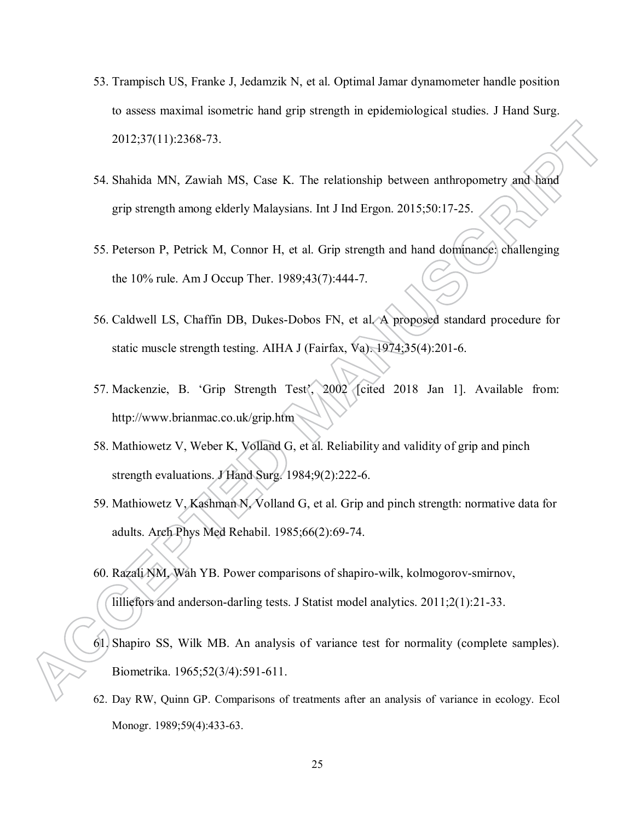- 53. Trampisch US, Franke J, Jedamzik N, et al. Optimal Jamar dynamometer handle position to assess maximal isometric hand grip strength in epidemiological studies. J Hand Surg. 2012;37(11):2368-73.
- 54. Shahida MN, Zawiah MS, Case K. The relationship between anthropometry and hand grip strength among elderly Malaysians. Int J Ind Ergon. 2015;50:17-25.
- 55. Peterson P, Petrick M, Connor H, et al. Grip strength and hand dominance: challenging the 10% rule. Am J Occup Ther. 1989;43(7):444-7.
- 56. Caldwell LS, Chaffin DB, Dukes-Dobos FN, et al. A proposed standard procedure for static muscle strength testing. AIHA J (Fairfax, Va). 1974;35(4):201-6.
- 57. Mackenzie, B. 'Grip Strength Test', 2002 [cited 2018 Jan 1]. Available from: http://www.brianmac.co.uk/grip.htm
- 58. Mathiowetz V, Weber K, Volland G, et al. Reliability and validity of grip and pinch strength evaluations. J Hand Surg. 1984;9(2):222-6.
- 59. Mathiowetz V, Kashman N, Volland G, et al. Grip and pinch strength: normative data for adults. Arch Phys Med Rehabil. 1985;66(2):69-74.
- 60. Razali NM, Wah YB. Power comparisons of shapiro-wilk, kolmogorov-smirnov, lilliefors and anderson-darling tests. J Statist model analytics. 2011;2(1):21-33.
- 61. Shapiro SS, Wilk MB. An analysis of variance test for normality (complete samples). Biometrika. 1965;52(3/4):591-611.
- 62. Day RW, Quinn GP. Comparisons of treatments after an analysis of variance in ecology. Ecol Monogr. 1989;59(4):433-63.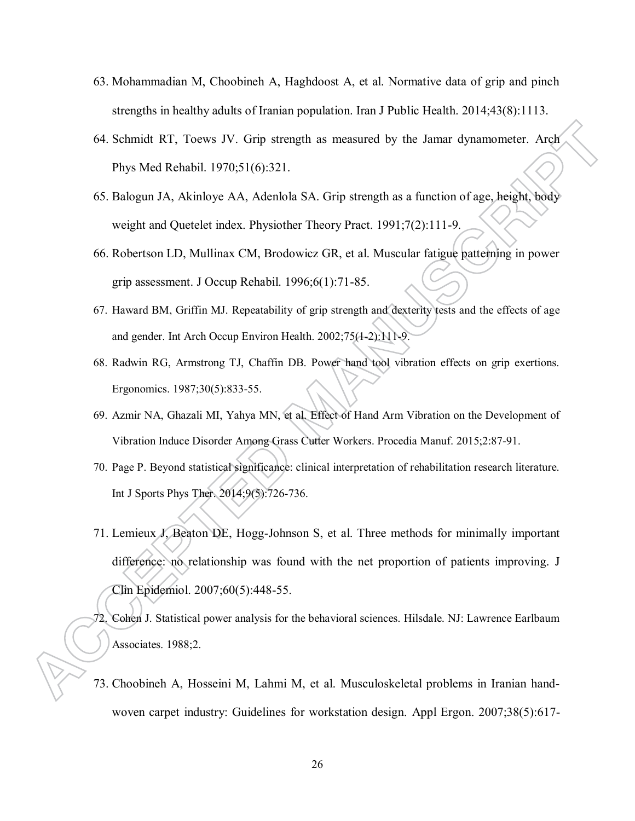- 63. Mohammadian M, Choobineh A, Haghdoost A, et al. Normative data of grip and pinch strengths in healthy adults of Iranian population. Iran J Public Health. 2014;43(8):1113.
- 64. Schmidt RT, Toews JV. Grip strength as measured by the Jamar dynamometer. Arch Phys Med Rehabil. 1970;51(6):321.
- 65. Balogun JA, Akinloye AA, Adenlola SA. Grip strength as a function of age, height, body weight and Quetelet index. Physiother Theory Pract. 1991;7(2):111-9.
- 66. Robertson LD, Mullinax CM, Brodowicz GR, et al. Muscular fatigue patterning in power grip assessment. J Occup Rehabil. 1996;6(1):71-85.
- 67. Haward BM, Griffin MJ. Repeatability of grip strength and dexterity tests and the effects of age and gender. Int Arch Occup Environ Health. 2002;75(1-2):111-9.
- 68. Radwin RG, Armstrong TJ, Chaffin DB. Power hand tool vibration effects on grip exertions. Ergonomics. 1987;30(5):833-55.
- 69. Azmir NA, Ghazali MI, Yahya MN, et al. Effect of Hand Arm Vibration on the Development of Vibration Induce Disorder Among Grass Cutter Workers. Procedia Manuf. 2015;2:87-91.
- 70. Page P. Beyond statistical significance: clinical interpretation of rehabilitation research literature. Int J Sports Phys Ther. 2014;9(5):726-736.
- 71. Lemieux J, Beaton DE, Hogg-Johnson S, et al. Three methods for minimally important difference: no relationship was found with the net proportion of patients improving. J Clin Epidemiol. 2007;60(5):448-55.
- 72. Cohen J. Statistical power analysis for the behavioral sciences. Hilsdale. NJ: Lawrence Earlbaum Associates. 1988;2.
- 73. Choobineh A, Hosseini M, Lahmi M, et al. Musculoskeletal problems in Iranian handwoven carpet industry: Guidelines for workstation design. Appl Ergon. 2007;38(5):617-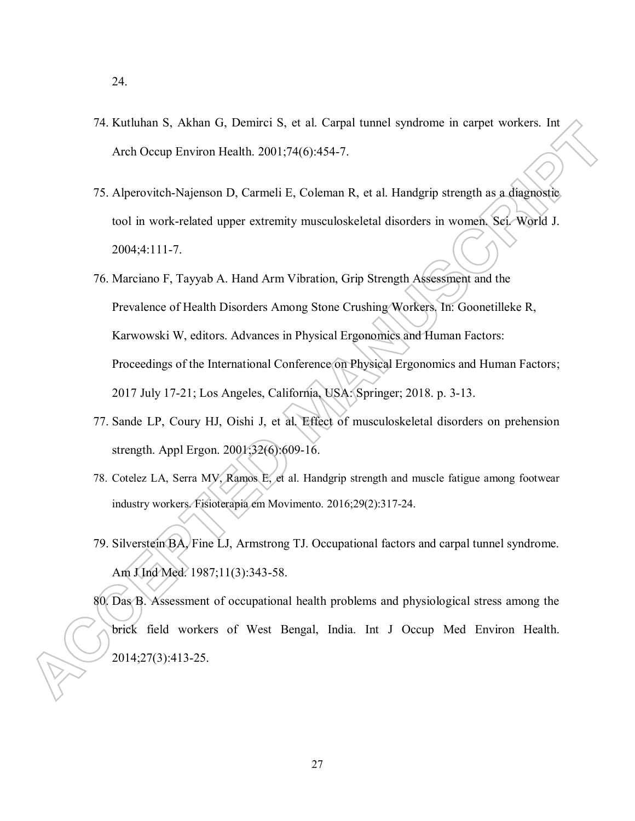- 74. Kutluhan S, Akhan G, Demirci S, et al. Carpal tunnel syndrome in carpet workers. Int Arch Occup Environ Health. 2001;74(6):454-7.
- 75. Alperovitch-Najenson D, Carmeli E, Coleman R, et al. Handgrip strength as a diagnostic tool in work-related upper extremity musculoskeletal disorders in women. Sci. World J. 2004;4:111-7.
- 76. Marciano F, Tayyab A. Hand Arm Vibration, Grip Strength Assessment and the Prevalence of Health Disorders Among Stone Crushing Workers. In: Goonetilleke R, Karwowski W, editors. Advances in Physical Ergonomics and Human Factors: Proceedings of the International Conference on Physical Ergonomics and Human Factors; 2017 July 17-21; Los Angeles, California, USA: Springer; 2018. p. 3-13.
- 77. Sande LP, Coury HJ, Oishi J, et al. Effect of musculoskeletal disorders on prehension strength. Appl Ergon. 2001;32(6):609-16.
- 78. Cotelez LA, Serra MV, Ramos E, et al. Handgrip strength and muscle fatigue among footwear industry workers. Fisioterapia em Movimento. 2016;29(2):317-24.
- 79. Silverstein BA, Fine LJ, Armstrong TJ. Occupational factors and carpal tunnel syndrome. Am J Ind Med. 1987;11(3):343-58.

80. Das B. Assessment of occupational health problems and physiological stress among the brick field workers of West Bengal, India. Int J Occup Med Environ Health. 2014;27(3):413-25.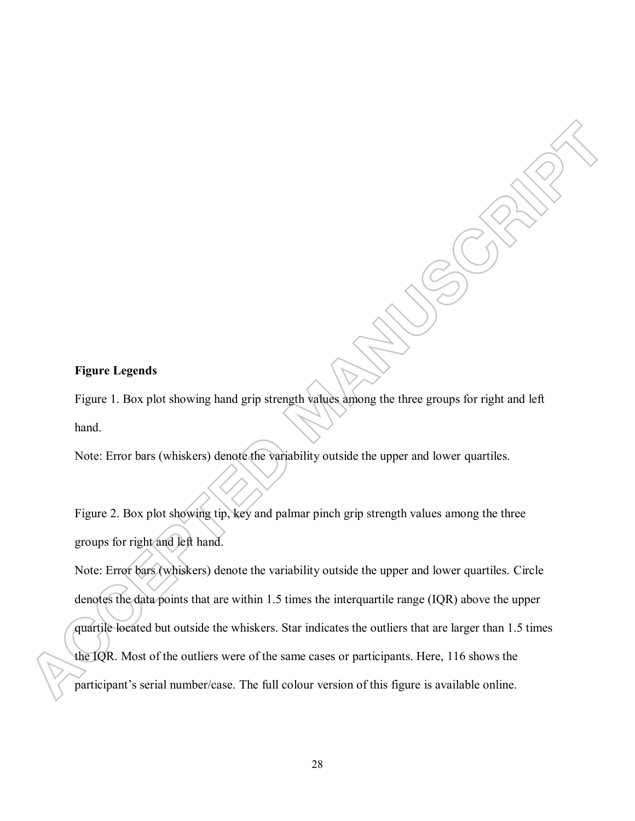## **Figure Legends**

Figure 1. Box plot showing hand grip strength values among the three groups for right and left hand.

Note: Error bars (whiskers) denote the variability outside the upper and lower quartiles.

Figure 2. Box plot showing tip, key and palmar pinch grip strength values among the three groups for right and left hand.

Note: Error bars (whiskers) denote the variability outside the upper and lower quartiles. Circle denotes the data points that are within 1.5 times the interquartile range (IQR) above the upper quartile located but outside the whiskers. Star indicates the outliers that are larger than 1.5 times the IQR. Most of the outliers were of the same cases or participants. Here, 116 shows the participant's serial number/case. The full colour version of this figure is available online.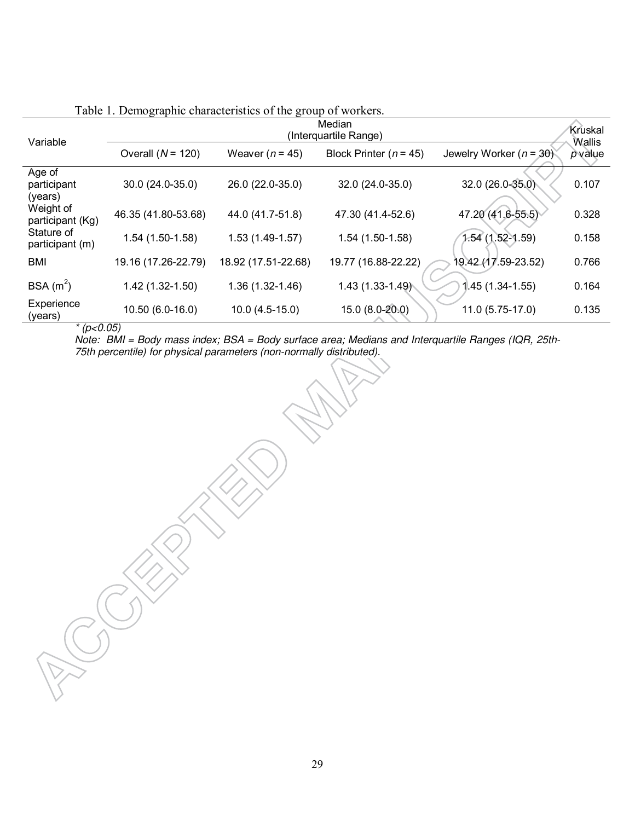| Variable                         | Median<br>(Interquartile Range) |                     |                          |                             |                     |  |  |  |
|----------------------------------|---------------------------------|---------------------|--------------------------|-----------------------------|---------------------|--|--|--|
|                                  | Overall $(N = 120)$             | Weaver ( $n = 45$ ) | Block Printer $(n = 45)$ | Jewelry Worker ( $n = 30$ ) | Wallis<br>$p$ value |  |  |  |
| Age of<br>participant<br>(years) | 30.0 (24.0-35.0)                | 26.0 (22.0-35.0)    | 32.0 (24.0-35.0)         | 32.0 (26.0-35.0)            | 0.107               |  |  |  |
| Weight of<br>participant (Kg)    | 46.35 (41.80-53.68)             | 44.0 (41.7-51.8)    | 47.30 (41.4-52.6)        | 47.20 (41.6-55.5)           | 0.328               |  |  |  |
| Stature of<br>participant (m)    | $1.54(1.50-1.58)$               | $1.53(1.49-1.57)$   | $1.54(1.50-1.58)$        | $1.54(1.52-1.59)$           | 0.158               |  |  |  |
| <b>BMI</b>                       | 19.16 (17.26-22.79)             | 18.92 (17.51-22.68) | 19.77 (16.88-22.22)      | 19.42 (17.59-23.52)         | 0.766               |  |  |  |
| BSA $(m^2)$                      | 1.42 (1.32-1.50)                | $1.36(1.32 - 1.46)$ | 1.43 (1.33-1.49)         | $1.45(1.34-1.55)$           | 0.164               |  |  |  |
| Experience<br>(years)            | 10.50 (6.0-16.0)                | $10.0(4.5-15.0)$    | 15.0 (8.0-20.0)          | 11.0 (5.75-17.0)            | 0.135               |  |  |  |

# Table 1. Demographic characteristics of the group of workers.

*\* (p<0.05)* 

*Note: BMI = Body mass index; BSA = Body surface area; Medians and Interquartile Ranges (IQR, 25th-75th percentile) for physical parameters (non-normally distributed).*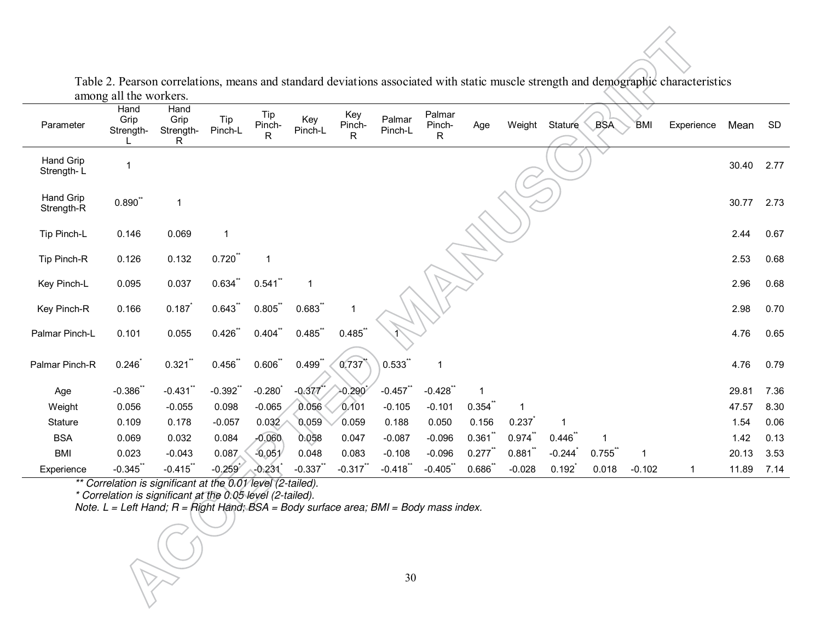| Parameter               | Hand<br>Grip<br>Strength- | Hand<br>Grip<br>Strength-<br>R | Tip<br>Pinch-L | Tip<br>Pinch-<br>$\mathsf{R}$ | Key<br>Pinch-L | Key<br>Pinch-<br>R | Palmar<br>Pinch-L | Palmar<br>Pinch-<br>R | Age                  | Weight   | Stature  | <b>BSA</b> | <b>BMI</b> | Experience | Mean  | <b>SD</b> |
|-------------------------|---------------------------|--------------------------------|----------------|-------------------------------|----------------|--------------------|-------------------|-----------------------|----------------------|----------|----------|------------|------------|------------|-------|-----------|
| Hand Grip<br>Strength-L | 1                         |                                |                |                               |                |                    |                   |                       |                      |          |          |            |            |            | 30.40 | 2.77      |
| Hand Grip<br>Strength-R | 0.890                     | 1                              |                |                               |                |                    |                   |                       |                      |          |          |            |            |            | 30.77 | 2.73      |
| Tip Pinch-L             | 0.146                     | 0.069                          | 1              |                               |                |                    |                   |                       |                      |          |          |            |            |            | 2.44  | 0.67      |
| Tip Pinch-R             | 0.126                     | 0.132                          | $0.720$ **     | $\overline{\phantom{a}}$      |                |                    |                   |                       |                      |          |          |            |            |            | 2.53  | 0.68      |
| Key Pinch-L             | 0.095                     | 0.037                          | $0.634$ **     | $0.541$ **                    |                |                    |                   |                       |                      |          |          |            |            |            | 2.96  | 0.68      |
| Key Pinch-R             | 0.166                     | 0.187                          | $0.643$ **     | $0.805$ **                    | $0.683$ **     | 1                  |                   |                       |                      |          |          |            |            |            | 2.98  | 0.70      |
| Palmar Pinch-L          | 0.101                     | 0.055                          | $0.426$ **     | $0.404$ **                    | $0.485$ **     | $0.485$ **         |                   |                       |                      |          |          |            |            |            | 4.76  | 0.65      |
| Palmar Pinch-R          | 0.246                     | $0.321$ **                     | 0.456          | $0.606$ **                    | $0.499$ *      | 0.737              | 0.533             | $\mathbf{1}$          |                      |          |          |            |            |            | 4.76  | 0.79      |
| Age                     | $-0.386$                  | $-0.431$ **                    | $-0.392$       | $-0.280$                      | $-0.377$       | $-0.290$           | $-0.457$ **       | $-0.428$              |                      |          |          |            |            |            | 29.81 | 7.36      |
| Weight                  | 0.056                     | $-0.055$                       | 0.098          | $-0.065$                      | 0.056          | 0.101              | $-0.105$          | $-0.101$              | 0.354                | -1       |          |            |            |            | 47.57 | 8.30      |
| Stature                 | 0.109                     | 0.178                          | $-0.057$       | 0.032                         | 0.059          | 0.059              | 0.188             | 0.050                 | 0.156                | 0.237    |          |            |            |            | 1.54  | 0.06      |
| <b>BSA</b>              | 0.069                     | 0.032                          | 0.084          | $-0.060$                      | 0.058          | 0.047              | $-0.087$          | $-0.096$              | 0.361                | 0.974    | 0.446    |            |            |            | 1.42  | 0.13      |
| <b>BMI</b>              | 0.023                     | $-0.043$                       | 0.087          | $-0.051$                      | 0.048          | 0.083              | $-0.108$          | $-0.096$              | $0.277$ <sup>*</sup> | 0.881    | $-0.244$ | 0.755      | 1          |            | 20.13 | 3.53      |
| Experience              | $-0.345$                  | $-0.415$                       | $-0.259$       | $-0.231$                      | $-0.337$       | $-0.317$           | $-0.418$          | $-0.405$              | 0.686                | $-0.028$ | 0.192    | 0.018      | $-0.102$   | 1          | 11.89 | 7.14      |

Table 2. Pearson correlations, means and standard deviations associated with static muscle strength and demographic characteristics among all the workers.

*\*\* Correlation is significant at the 0.01 level (2-tailed).* 

*\* Correlation is significant at the 0.05 level (2-tailed).* 

*Note. L = Left Hand; R = Right Hand; BSA = Body surface area; BMI = Body mass index.*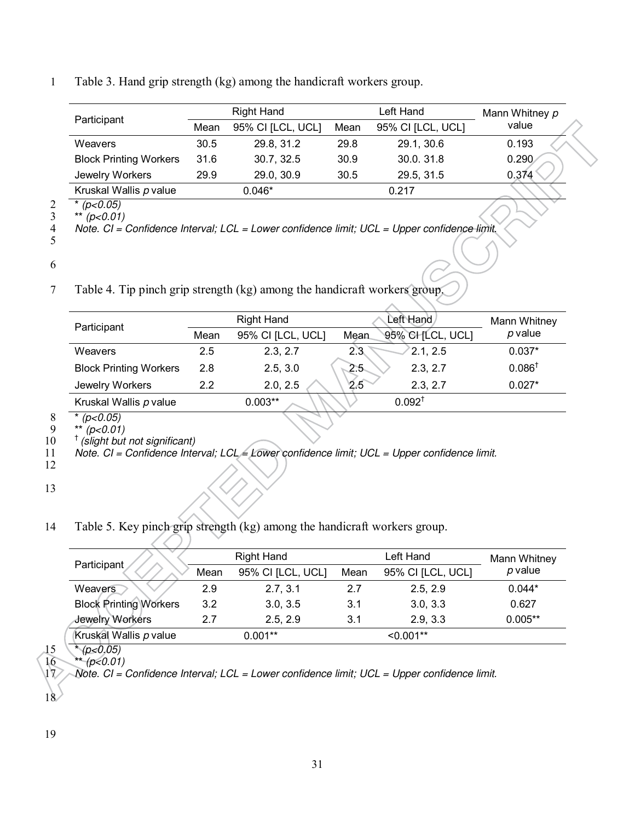## 1 Table 3. Hand grip strength (kg) among the handicraft workers group.

|                               |      | Right Hand        |                   | Left Hand         | Mann Whitney p |
|-------------------------------|------|-------------------|-------------------|-------------------|----------------|
| Participant                   | Mean | 95% CI [LCL, UCL] | Mean              | 95% CI [LCL, UCL] | value          |
| <b>Weavers</b>                | 30.5 | 29.8, 31.2        | 29.8              | 29.1, 30.6        | 0.193          |
| <b>Block Printing Workers</b> | 31.6 | 30.7, 32.5        | 30.9 <sup>°</sup> | 30.0.31.8         | 0.290          |
| Jewelry Workers               | 29.9 | 29.0, 30.9        | 30.5              | 29.5, 31.5        | 0.374          |
| Kruskal Wallis p value        |      | $0.046*$          |                   | 0.217             |                |

2 \* *(p<0.05)* 

3 \*\* *(p<0.01)* 

4 *Note. CI = Confidence Interval; LCL = Lower confidence limit; UCL = Upper confidence limit.* 5

6

7 Table 4. Tip pinch grip strength (kg) among the handicraft workers group.

| Participant                   | <b>Right Hand</b> |                   | Left Hand                 | Mann Whitney      |  |
|-------------------------------|-------------------|-------------------|---------------------------|-------------------|--|
|                               | Mean              | 95% CI [LCL, UCL] | 95% CHILCL, UCL]<br>Mean. | $p$ value         |  |
| Weavers                       | 2.5               | 2.3, 2.7          | 2.1, 2.5<br>2.3           | $0.037*$          |  |
| <b>Block Printing Workers</b> | 2.8               | 2.5, 3.0          | 2.3, 2.7<br>$2.5 -$       | $0.086^{\dagger}$ |  |
| Jewelry Workers               | 22                | 2.0, 2.5          | 2.5<br>2.3, 2.7           | $0.027*$          |  |
| Kruskal Wallis p value        |                   | $0.003**$         | $0.092^{\dagger}$         |                   |  |
|                               |                   |                   |                           |                   |  |

 $\begin{array}{r} 8 \\ 9 \end{array}$  \* (p<0.05)<br>9 \*\* (p<0.01)

 $9 \times^{*} (p < 0.01)$ <br>10  $\frac{1}{2}$  (slight but)

† 10 *(slight but not significant)*  11 *Note. CI = Confidence Interval; LCL = Lower confidence limit; UCL = Upper confidence limit.*

12

13

14 Table 5. Key pinch grip strength (kg) among the handicraft workers group.

|                               |      | <b>Right Hand</b> |      | Left Hand         | Mann Whitney |
|-------------------------------|------|-------------------|------|-------------------|--------------|
| Participant                   | Mean | 95% CI [LCL, UCL] | Mean | 95% CI [LCL, UCL] | $p$ value    |
| Weavers                       | 2.9  | 2.7, 3.1          | 2.7  | 2.5, 2.9          | $0.044*$     |
| <b>Block Printing Workers</b> | 3.2  | 3.0, 3.5          | 3.1  | 3.0, 3.3          | 0.627        |
| Jewelry Workers               | 27   | 2.5, 2.9          | 3.1  | 2.9, 3.3          | $0.005**$    |
| Kruskal Wallis p value        |      | $0.001**$         |      | $< 0.001**$       |              |

15  $*(p<0.05)$ <br>16  $*(p<0.01)$ 

16 \*\* *(p<0.01)*  17 *Note. CI = Confidence Interval; LCL = Lower confidence limit; UCL = Upper confidence limit.*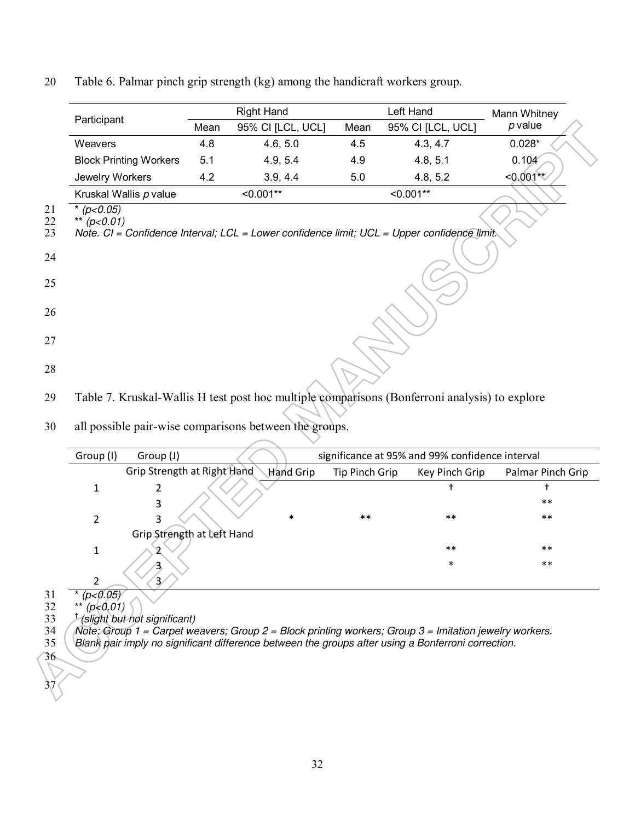|                | Participant                                                                                                         |      | <b>Right Hand</b> |      | Left Hand         | Mann Whitney |  |  |
|----------------|---------------------------------------------------------------------------------------------------------------------|------|-------------------|------|-------------------|--------------|--|--|
|                |                                                                                                                     | Mean | 95% CI [LCL, UCL] | Mean | 95% CI [LCL, UCL] | $p$ value    |  |  |
|                | Weavers                                                                                                             | 4.8  | 4.6, 5.0          | 4.5  | 4.3, 4.7          | $0.028*$     |  |  |
|                | <b>Block Printing Workers</b>                                                                                       | 5.1  | 4.9, 5.4          | 4.9  | 4.8, 5.1          | 0.104        |  |  |
|                | Jewelry Workers                                                                                                     | 4.2  | 3.9, 4.4          | 5.0  | 4.8, 5.2          | $< 0.001**$  |  |  |
|                | Kruskal Wallis p value                                                                                              |      | $< 0.001**$       |      | $< 0.001**$       |              |  |  |
| 21<br>22<br>23 | (p<0.05)<br>(p<0.01)<br>Note. CI = Confidence Interval; LCL = Lower confidence limit; UCL = Upper confidence limit. |      |                   |      |                   |              |  |  |
| 24             |                                                                                                                     |      |                   |      |                   |              |  |  |
|                |                                                                                                                     |      |                   |      |                   |              |  |  |
| 25             |                                                                                                                     |      |                   |      |                   |              |  |  |
| 26             |                                                                                                                     |      |                   |      |                   |              |  |  |
| 27             |                                                                                                                     |      |                   |      |                   |              |  |  |
|                |                                                                                                                     |      |                   |      |                   |              |  |  |
| 28             |                                                                                                                     |      |                   |      |                   |              |  |  |
| 29             | Table 7. Kruskal-Wallis H test post hoc multiple comparisons (Bonferroni analysis) to explore                       |      |                   |      |                   |              |  |  |
|                |                                                                                                                     |      |                   |      |                   |              |  |  |
| 30             | all possible pair-wise comparisons between the groups.                                                              |      |                   |      |                   |              |  |  |
|                |                                                                                                                     |      |                   |      |                   |              |  |  |

# 20 Table 6. Palmar pinch grip strength (kg) among the handicraft workers group.

| Group (I)                     | Group (J) |                                          |                | significance at 95% and 99% confidence interval |                   |
|-------------------------------|-----------|------------------------------------------|----------------|-------------------------------------------------|-------------------|
|                               |           | Grip Strength at Right Hand<br>Hand Grip | Tip Pinch Grip | Key Pinch Grip                                  | Palmar Pinch Grip |
| 1                             |           |                                          |                |                                                 |                   |
|                               | 3         |                                          |                |                                                 | $***$             |
| 2                             | 3         | $\ast$                                   | $***$          | $\ast\ast$                                      | $***$             |
|                               |           | Grip Strength at Left Hand               |                |                                                 |                   |
| 1                             |           |                                          |                | $***$                                           | $***$             |
|                               |           |                                          |                | $\ast$                                          | $***$             |
| າ                             |           |                                          |                |                                                 |                   |
| * $(p<0.05)$<br>$**$ (p. 0.1) |           |                                          |                |                                                 |                   |

32 \*\* *(p<0.01)* 

 $37<sup>1</sup>$ </sup>

† 33 *(slight but not significant)* 

34 *Note: Group 1 = Carpet weavers; Group 2 = Block printing workers; Group 3 = Imitation jewelry workers.* 

31<br>32<br>33<br>34<br>34<br>35 35 *Blank pair imply no significant difference between the groups after using a Bonferroni correction.*  36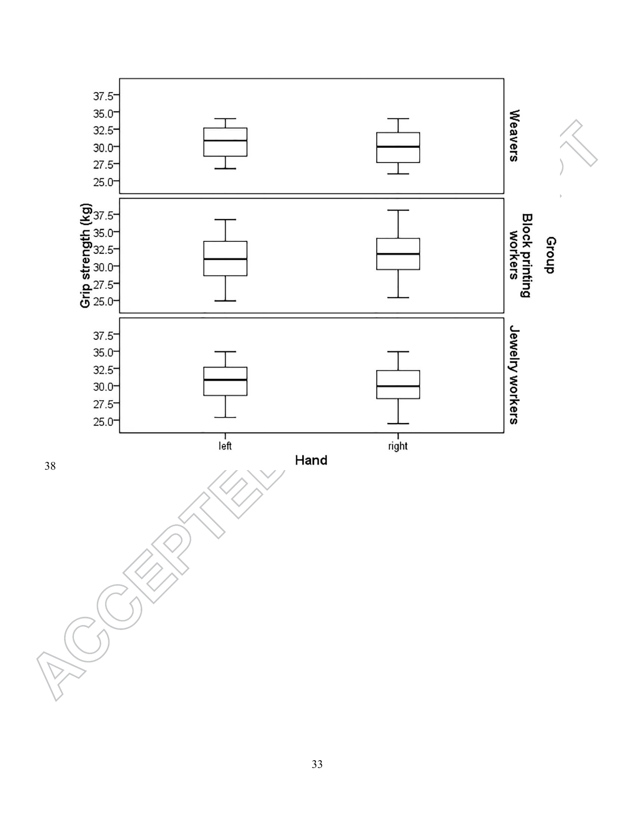